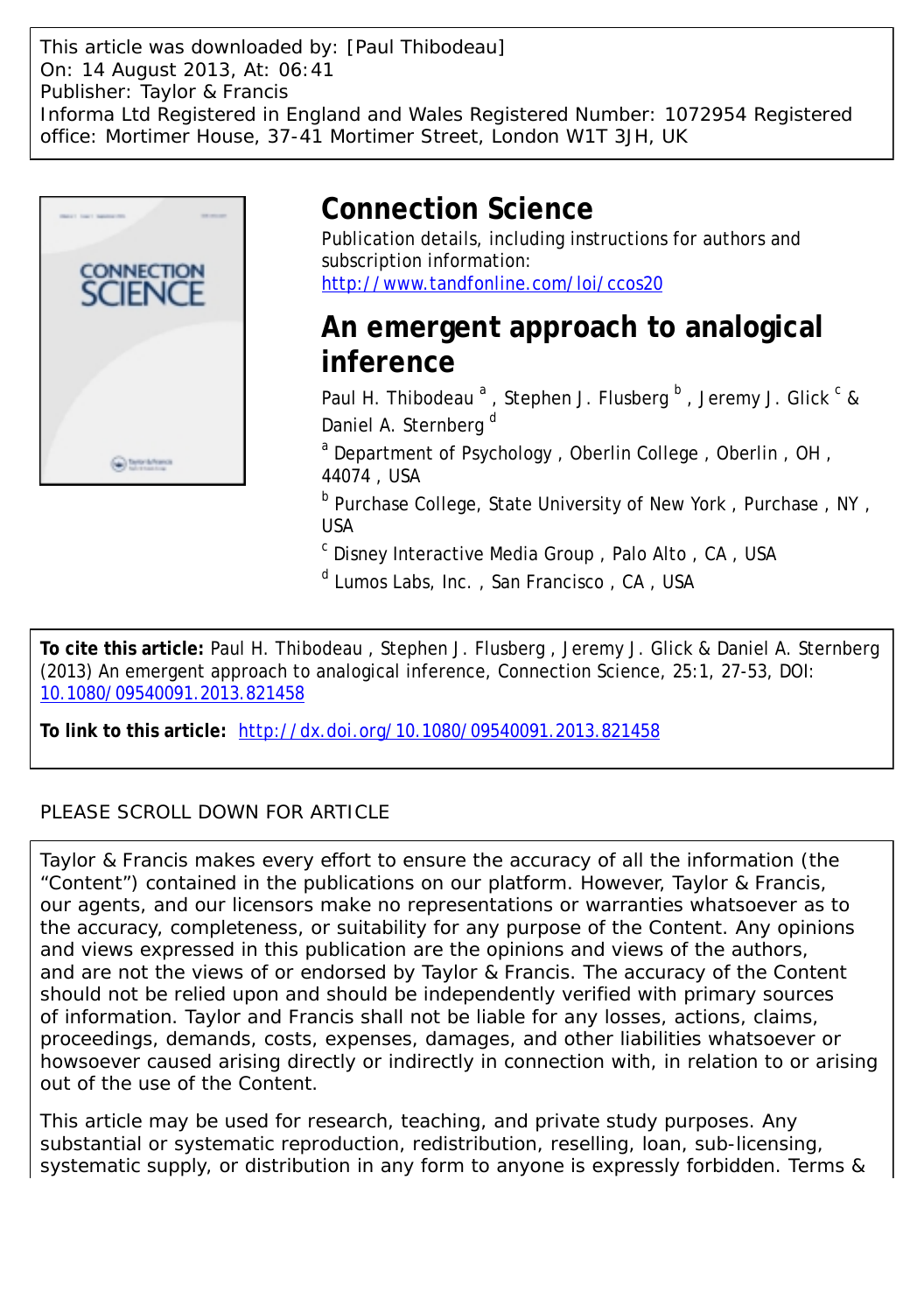This article was downloaded by: [Paul Thibodeau] On: 14 August 2013, At: 06:41 Publisher: Taylor & Francis Informa Ltd Registered in England and Wales Registered Number: 1072954 Registered office: Mortimer House, 37-41 Mortimer Street, London W1T 3JH, UK



# **Connection Science**

Publication details, including instructions for authors and subscription information: <http://www.tandfonline.com/loi/ccos20>

# **An emergent approach to analogical inference**

Paul H. Thibodeau<sup>a</sup>, Stephen J. Flusberg<sup>b</sup>, Jeremy J. Glick<sup>c</sup> & Daniel A. Sternberg<sup>d</sup>

<sup>a</sup> Department of Psychology, Oberlin College, Oberlin, OH, 44074 , USA

<sup>b</sup> Purchase College, State University of New York, Purchase, NY, USA

<sup>c</sup> Disney Interactive Media Group, Palo Alto, CA, USA

<sup>d</sup> Lumos Labs, Inc., San Francisco, CA, USA

**To cite this article:** Paul H. Thibodeau , Stephen J. Flusberg , Jeremy J. Glick & Daniel A. Sternberg (2013) An emergent approach to analogical inference, Connection Science, 25:1, 27-53, DOI: [10.1080/09540091.2013.821458](http://www.tandfonline.com/action/showCitFormats?doi=10.1080/09540091.2013.821458)

**To link to this article:** <http://dx.doi.org/10.1080/09540091.2013.821458>

# PLEASE SCROLL DOWN FOR ARTICLE

Taylor & Francis makes every effort to ensure the accuracy of all the information (the "Content") contained in the publications on our platform. However, Taylor & Francis, our agents, and our licensors make no representations or warranties whatsoever as to the accuracy, completeness, or suitability for any purpose of the Content. Any opinions and views expressed in this publication are the opinions and views of the authors, and are not the views of or endorsed by Taylor & Francis. The accuracy of the Content should not be relied upon and should be independently verified with primary sources of information. Taylor and Francis shall not be liable for any losses, actions, claims, proceedings, demands, costs, expenses, damages, and other liabilities whatsoever or howsoever caused arising directly or indirectly in connection with, in relation to or arising out of the use of the Content.

This article may be used for research, teaching, and private study purposes. Any substantial or systematic reproduction, redistribution, reselling, loan, sub-licensing, systematic supply, or distribution in any form to anyone is expressly forbidden. Terms &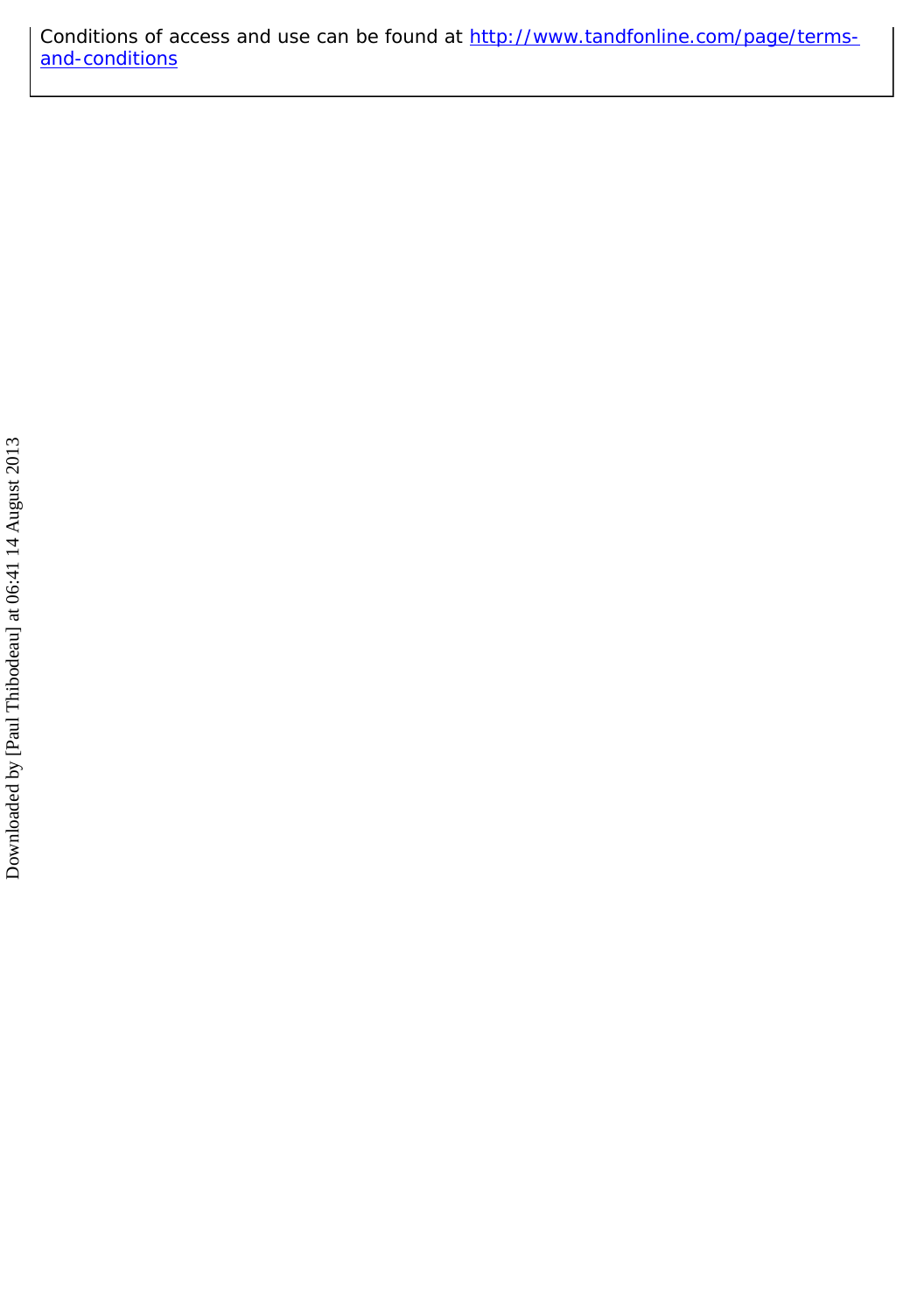Conditions of access and use can be found at [http://www.tandfonline.com/page/terms](http://www.tandfonline.com/page/terms-and-conditions)[and-conditions](http://www.tandfonline.com/page/terms-and-conditions)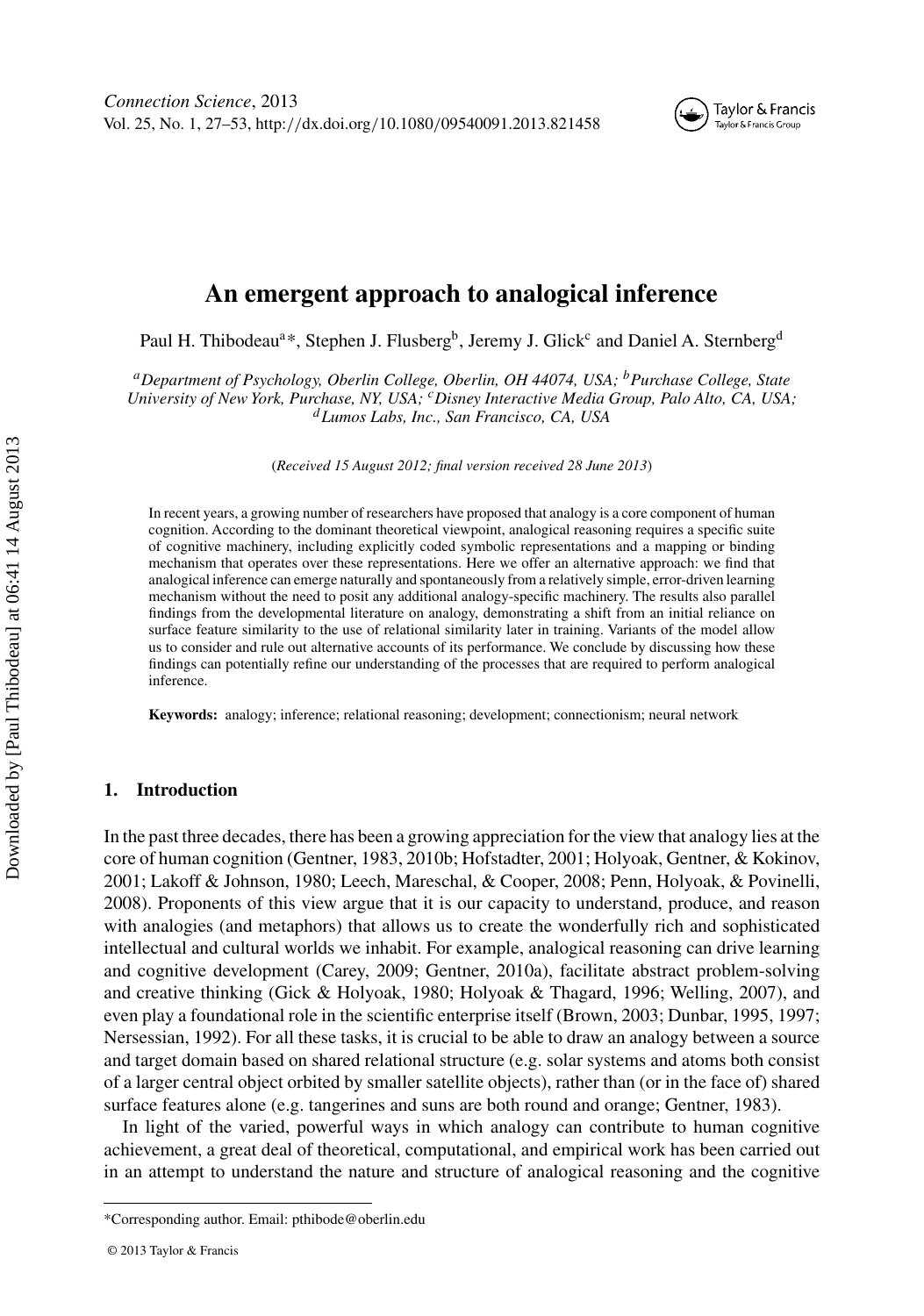

# **An emergent approach to analogical inference**

Paul H. Thibodeau<sup>a\*</sup>, Stephen J. Flusberg<sup>b</sup>, Jeremy J. Glick<sup>c</sup> and Daniel A. Sternberg<sup>d</sup>

*aDepartment of Psychology, Oberlin College, Oberlin, OH 44074, USA; bPurchase College, State University of New York, Purchase, NY, USA; cDisney Interactive Media Group, Palo Alto, CA, USA; dLumos Labs, Inc., San Francisco, CA, USA*

(*Received 15 August 2012; final version received 28 June 2013*)

In recent years, a growing number of researchers have proposed that analogy is a core component of human cognition. According to the dominant theoretical viewpoint, analogical reasoning requires a specific suite of cognitive machinery, including explicitly coded symbolic representations and a mapping or binding mechanism that operates over these representations. Here we offer an alternative approach: we find that analogical inference can emerge naturally and spontaneously from a relatively simple, error-driven learning mechanism without the need to posit any additional analogy-specific machinery. The results also parallel findings from the developmental literature on analogy, demonstrating a shift from an initial reliance on surface feature similarity to the use of relational similarity later in training. Variants of the model allow us to consider and rule out alternative accounts of its performance. We conclude by discussing how these findings can potentially refine our understanding of the processes that are required to perform analogical inference.

**Keywords:** analogy; inference; relational reasoning; development; connectionism; neural network

#### **1. Introduction**

In the past three decades, there has been a growing appreciation for the view that analogy lies at the core of human cognition (Gentner, 1983, 2010b; Hofstadter, 2001; Holyoak, Gentner, & Kokinov, 2001; Lakoff & Johnson, 1980; Leech, Mareschal, & Cooper, 2008; Penn, Holyoak, & Povinelli, 2008). Proponents of this view argue that it is our capacity to understand, produce, and reason with analogies (and metaphors) that allows us to create the wonderfully rich and sophisticated intellectual and cultural worlds we inhabit. For example, analogical reasoning can drive learning and cognitive development (Carey, 2009; Gentner, 2010a), facilitate abstract problem-solving and creative thinking (Gick & Holyoak, 1980; Holyoak & Thagard, 1996; Welling, 2007), and even play a foundational role in the scientific enterprise itself (Brown, 2003; Dunbar, 1995, 1997; Nersessian, 1992). For all these tasks, it is crucial to be able to draw an analogy between a source and target domain based on shared relational structure (e.g. solar systems and atoms both consist of a larger central object orbited by smaller satellite objects), rather than (or in the face of) shared surface features alone (e.g. tangerines and suns are both round and orange; Gentner, 1983).

In light of the varied, powerful ways in which analogy can contribute to human cognitive achievement, a great deal of theoretical, computational, and empirical work has been carried out in an attempt to understand the nature and structure of analogical reasoning and the cognitive

<sup>\*</sup>Corresponding author. Email: pthibode@oberlin.edu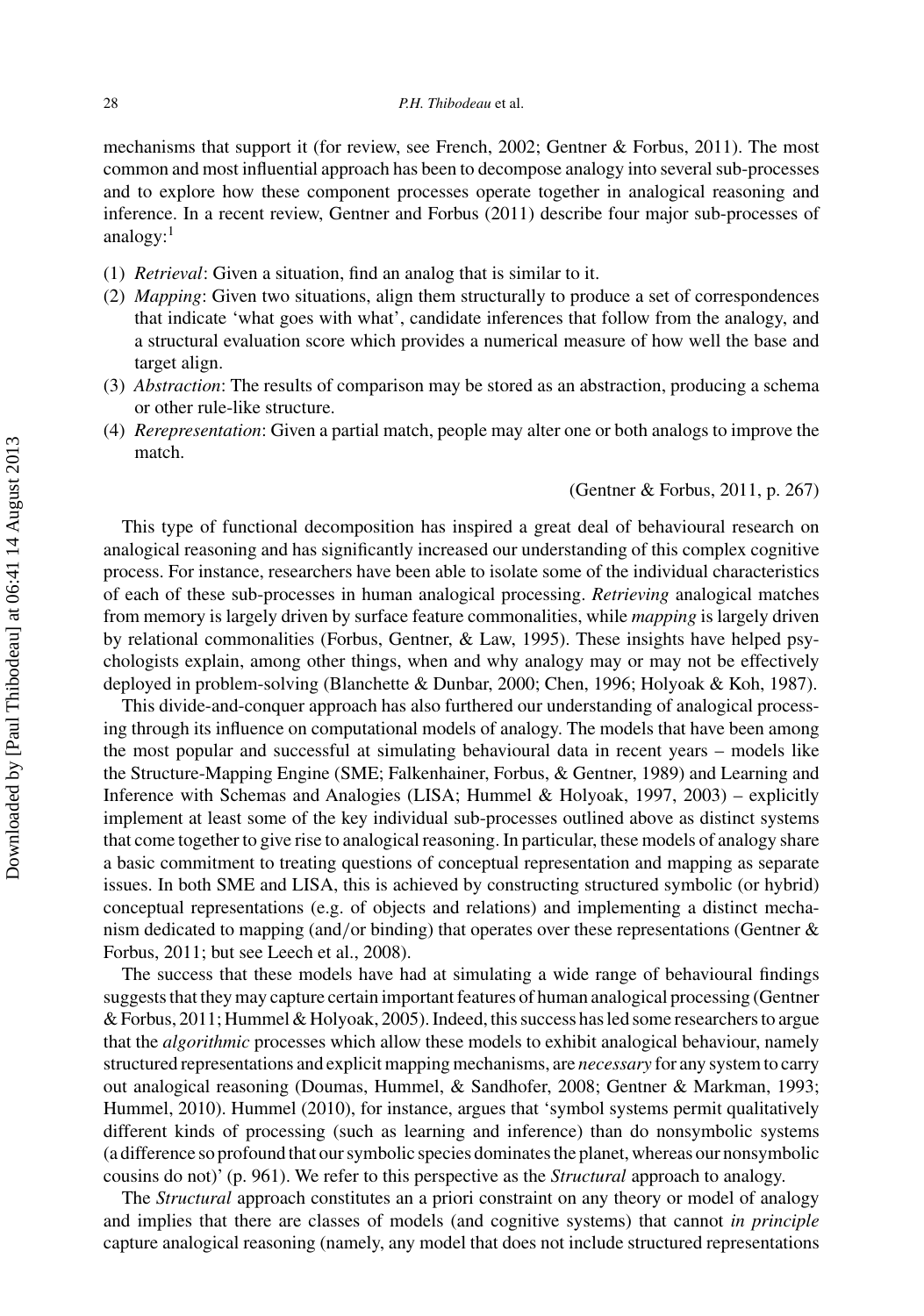mechanisms that support it (for review, see French, 2002; Gentner & Forbus, 2011). The most common and most influential approach has been to decompose analogy into several sub-processes and to explore how these component processes operate together in analogical reasoning and inference. In a recent review, Gentner and Forbus (2011) describe four major sub-processes of analogy:<sup>1</sup>

- (1) *Retrieval*: Given a situation, find an analog that is similar to it.
- (2) *Mapping*: Given two situations, align them structurally to produce a set of correspondences that indicate 'what goes with what', candidate inferences that follow from the analogy, and a structural evaluation score which provides a numerical measure of how well the base and target align.
- (3) *Abstraction*: The results of comparison may be stored as an abstraction, producing a schema or other rule-like structure.
- (4) *Rerepresentation*: Given a partial match, people may alter one or both analogs to improve the match.

# (Gentner & Forbus, 2011, p. 267)

This type of functional decomposition has inspired a great deal of behavioural research on analogical reasoning and has significantly increased our understanding of this complex cognitive process. For instance, researchers have been able to isolate some of the individual characteristics of each of these sub-processes in human analogical processing. *Retrieving* analogical matches from memory is largely driven by surface feature commonalities, while *mapping* is largely driven by relational commonalities (Forbus, Gentner, & Law, 1995). These insights have helped psychologists explain, among other things, when and why analogy may or may not be effectively deployed in problem-solving (Blanchette & Dunbar, 2000; Chen, 1996; Holyoak & Koh, 1987).

This divide-and-conquer approach has also furthered our understanding of analogical processing through its influence on computational models of analogy. The models that have been among the most popular and successful at simulating behavioural data in recent years – models like the Structure-Mapping Engine (SME; Falkenhainer, Forbus, & Gentner, 1989) and Learning and Inference with Schemas and Analogies (LISA; Hummel & Holyoak, 1997, 2003) – explicitly implement at least some of the key individual sub-processes outlined above as distinct systems that come together to give rise to analogical reasoning. In particular, these models of analogy share a basic commitment to treating questions of conceptual representation and mapping as separate issues. In both SME and LISA, this is achieved by constructing structured symbolic (or hybrid) conceptual representations (e.g. of objects and relations) and implementing a distinct mechanism dedicated to mapping (and*/*or binding) that operates over these representations (Gentner & Forbus, 2011; but see Leech et al., 2008).

The success that these models have had at simulating a wide range of behavioural findings suggests that they may capture certain important features of human analogical processing (Gentner & Forbus, 2011; Hummel & Holyoak, 2005). Indeed, this success has led some researchers to argue that the *algorithmic* processes which allow these models to exhibit analogical behaviour, namely structured representations and explicit mapping mechanisms, are *necessary* for any system to carry out analogical reasoning (Doumas, Hummel, & Sandhofer, 2008; Gentner & Markman, 1993; Hummel, 2010). Hummel (2010), for instance, argues that 'symbol systems permit qualitatively different kinds of processing (such as learning and inference) than do nonsymbolic systems (a difference so profound that our symbolic species dominates the planet, whereas our nonsymbolic cousins do not)' (p. 961). We refer to this perspective as the *Structural* approach to analogy.

The *Structural* approach constitutes an a priori constraint on any theory or model of analogy and implies that there are classes of models (and cognitive systems) that cannot *in principle* capture analogical reasoning (namely, any model that does not include structured representations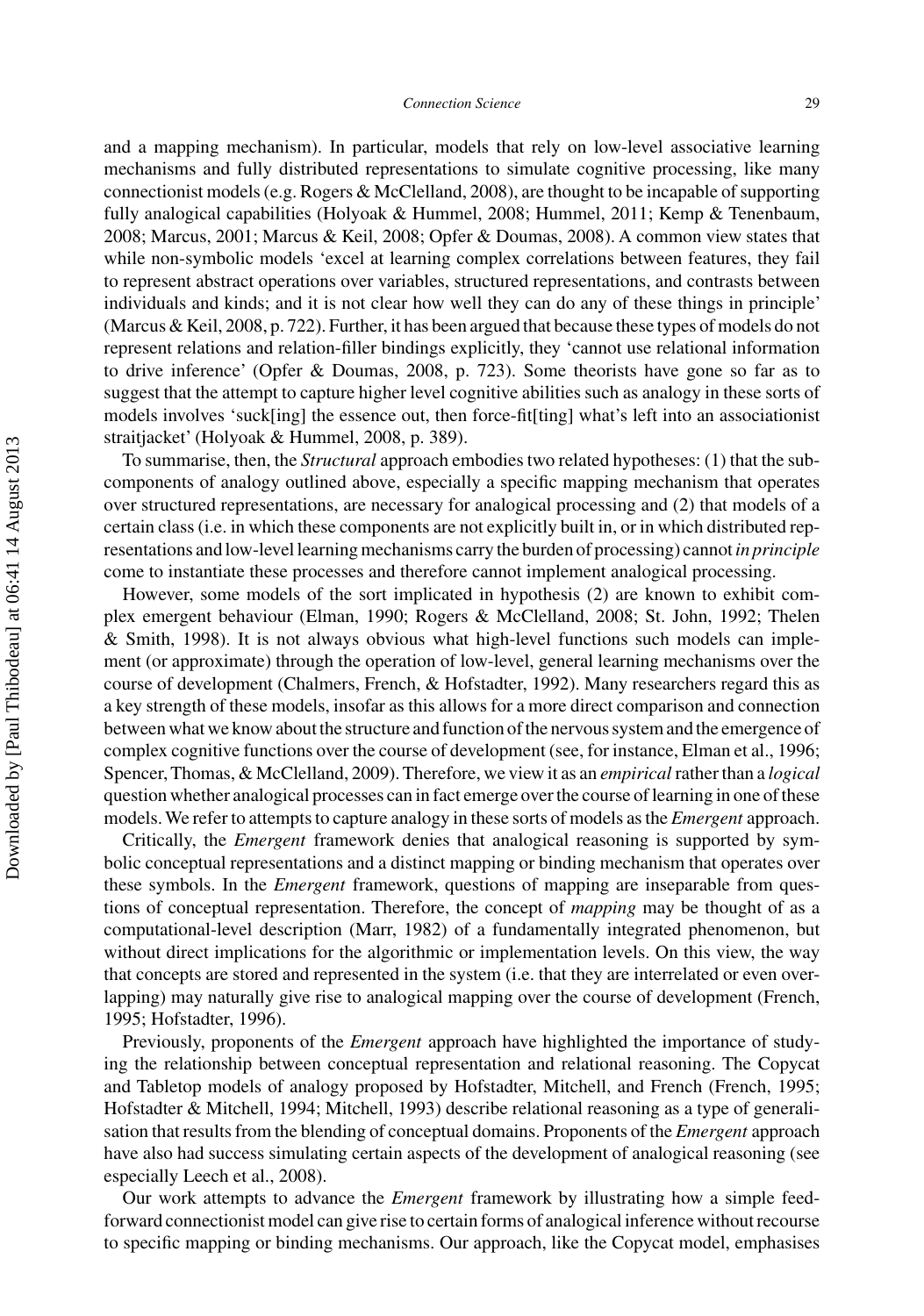and a mapping mechanism). In particular, models that rely on low-level associative learning mechanisms and fully distributed representations to simulate cognitive processing, like many connectionist models (e.g. Rogers & McClelland, 2008), are thought to be incapable of supporting fully analogical capabilities (Holyoak & Hummel, 2008; Hummel, 2011; Kemp & Tenenbaum, 2008; Marcus, 2001; Marcus & Keil, 2008; Opfer & Doumas, 2008). A common view states that while non-symbolic models 'excel at learning complex correlations between features, they fail to represent abstract operations over variables, structured representations, and contrasts between individuals and kinds; and it is not clear how well they can do any of these things in principle' (Marcus & Keil, 2008, p. 722). Further, it has been argued that because these types of models do not represent relations and relation-filler bindings explicitly, they 'cannot use relational information to drive inference' (Opfer & Doumas, 2008, p. 723). Some theorists have gone so far as to suggest that the attempt to capture higher level cognitive abilities such as analogy in these sorts of models involves 'suck[ing] the essence out, then force-fit[ting] what's left into an associationist straitjacket' (Holyoak & Hummel, 2008, p. 389).

To summarise, then, the *Structural* approach embodies two related hypotheses: (1) that the subcomponents of analogy outlined above, especially a specific mapping mechanism that operates over structured representations, are necessary for analogical processing and (2) that models of a certain class (i.e. in which these components are not explicitly built in, or in which distributed representations and low-level learning mechanisms carry the burden of processing) cannot *in principle* come to instantiate these processes and therefore cannot implement analogical processing.

However, some models of the sort implicated in hypothesis (2) are known to exhibit complex emergent behaviour (Elman, 1990; Rogers & McClelland, 2008; St. John, 1992; Thelen & Smith, 1998). It is not always obvious what high-level functions such models can implement (or approximate) through the operation of low-level, general learning mechanisms over the course of development (Chalmers, French, & Hofstadter, 1992). Many researchers regard this as a key strength of these models, insofar as this allows for a more direct comparison and connection between what we know about the structure and function of the nervous system and the emergence of complex cognitive functions over the course of development (see, for instance, Elman et al., 1996; Spencer, Thomas, & McClelland, 2009). Therefore, we view it as an *empirical* rather than a *logical* question whether analogical processes can in fact emerge over the course of learning in one of these models. We refer to attempts to capture analogy in these sorts of models as the *Emergent* approach.

Critically, the *Emergent* framework denies that analogical reasoning is supported by symbolic conceptual representations and a distinct mapping or binding mechanism that operates over these symbols. In the *Emergent* framework, questions of mapping are inseparable from questions of conceptual representation. Therefore, the concept of *mapping* may be thought of as a computational-level description (Marr, 1982) of a fundamentally integrated phenomenon, but without direct implications for the algorithmic or implementation levels. On this view, the way that concepts are stored and represented in the system (i.e. that they are interrelated or even overlapping) may naturally give rise to analogical mapping over the course of development (French, 1995; Hofstadter, 1996).

Previously, proponents of the *Emergent* approach have highlighted the importance of studying the relationship between conceptual representation and relational reasoning. The Copycat and Tabletop models of analogy proposed by Hofstadter, Mitchell, and French (French, 1995; Hofstadter & Mitchell, 1994; Mitchell, 1993) describe relational reasoning as a type of generalisation that results from the blending of conceptual domains. Proponents of the *Emergent* approach have also had success simulating certain aspects of the development of analogical reasoning (see especially Leech et al., 2008).

Our work attempts to advance the *Emergent* framework by illustrating how a simple feedforward connectionist model can give rise to certain forms of analogical inference without recourse to specific mapping or binding mechanisms. Our approach, like the Copycat model, emphasises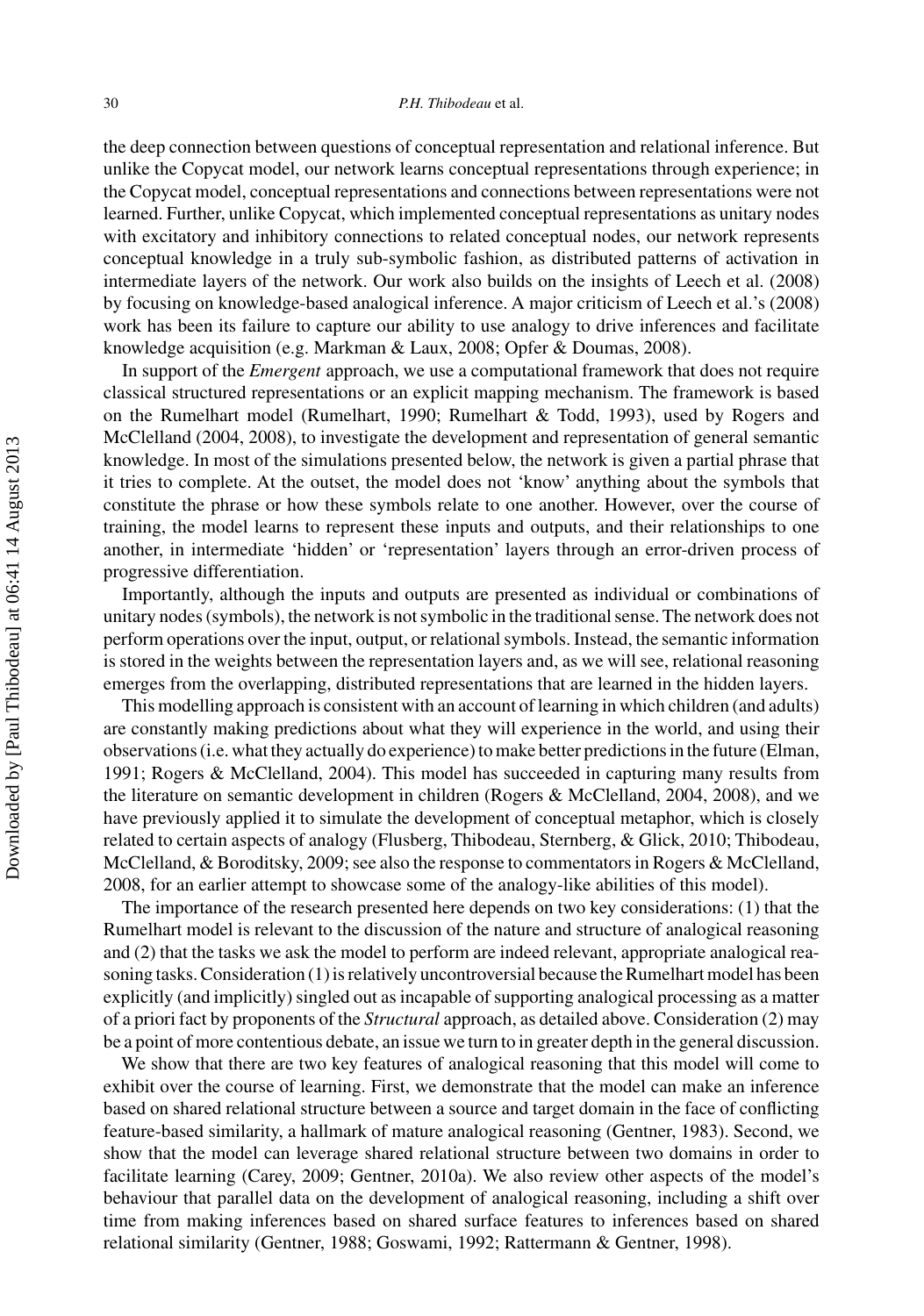the deep connection between questions of conceptual representation and relational inference. But unlike the Copycat model, our network learns conceptual representations through experience; in the Copycat model, conceptual representations and connections between representations were not learned. Further, unlike Copycat, which implemented conceptual representations as unitary nodes with excitatory and inhibitory connections to related conceptual nodes, our network represents conceptual knowledge in a truly sub-symbolic fashion, as distributed patterns of activation in intermediate layers of the network. Our work also builds on the insights of Leech et al. (2008) by focusing on knowledge-based analogical inference. A major criticism of Leech et al.'s (2008) work has been its failure to capture our ability to use analogy to drive inferences and facilitate knowledge acquisition (e.g. Markman & Laux, 2008; Opfer & Doumas, 2008).

In support of the *Emergent* approach, we use a computational framework that does not require classical structured representations or an explicit mapping mechanism. The framework is based on the Rumelhart model (Rumelhart, 1990; Rumelhart & Todd, 1993), used by Rogers and McClelland (2004, 2008), to investigate the development and representation of general semantic knowledge. In most of the simulations presented below, the network is given a partial phrase that it tries to complete. At the outset, the model does not 'know' anything about the symbols that constitute the phrase or how these symbols relate to one another. However, over the course of training, the model learns to represent these inputs and outputs, and their relationships to one another, in intermediate 'hidden' or 'representation' layers through an error-driven process of progressive differentiation.

Importantly, although the inputs and outputs are presented as individual or combinations of unitary nodes (symbols), the network is not symbolic in the traditional sense. The network does not perform operations over the input, output, or relational symbols. Instead, the semantic information is stored in the weights between the representation layers and, as we will see, relational reasoning emerges from the overlapping, distributed representations that are learned in the hidden layers.

This modelling approach is consistent with an account of learning in which children (and adults) are constantly making predictions about what they will experience in the world, and using their observations (i.e. what they actually do experience) to make better predictions in the future (Elman, 1991; Rogers & McClelland, 2004). This model has succeeded in capturing many results from the literature on semantic development in children (Rogers & McClelland, 2004, 2008), and we have previously applied it to simulate the development of conceptual metaphor, which is closely related to certain aspects of analogy (Flusberg, Thibodeau, Sternberg, & Glick, 2010; Thibodeau, McClelland, & Boroditsky, 2009; see also the response to commentators in Rogers & McClelland, 2008, for an earlier attempt to showcase some of the analogy-like abilities of this model).

The importance of the research presented here depends on two key considerations: (1) that the Rumelhart model is relevant to the discussion of the nature and structure of analogical reasoning and (2) that the tasks we ask the model to perform are indeed relevant, appropriate analogical reasoning tasks. Consideration (1) is relatively uncontroversial because the Rumelhart model has been explicitly (and implicitly) singled out as incapable of supporting analogical processing as a matter of a priori fact by proponents of the *Structural* approach, as detailed above. Consideration (2) may be a point of more contentious debate, an issue we turn to in greater depth in the general discussion.

We show that there are two key features of analogical reasoning that this model will come to exhibit over the course of learning. First, we demonstrate that the model can make an inference based on shared relational structure between a source and target domain in the face of conflicting feature-based similarity, a hallmark of mature analogical reasoning (Gentner, 1983). Second, we show that the model can leverage shared relational structure between two domains in order to facilitate learning (Carey, 2009; Gentner, 2010a). We also review other aspects of the model's behaviour that parallel data on the development of analogical reasoning, including a shift over time from making inferences based on shared surface features to inferences based on shared relational similarity (Gentner, 1988; Goswami, 1992; Rattermann & Gentner, 1998).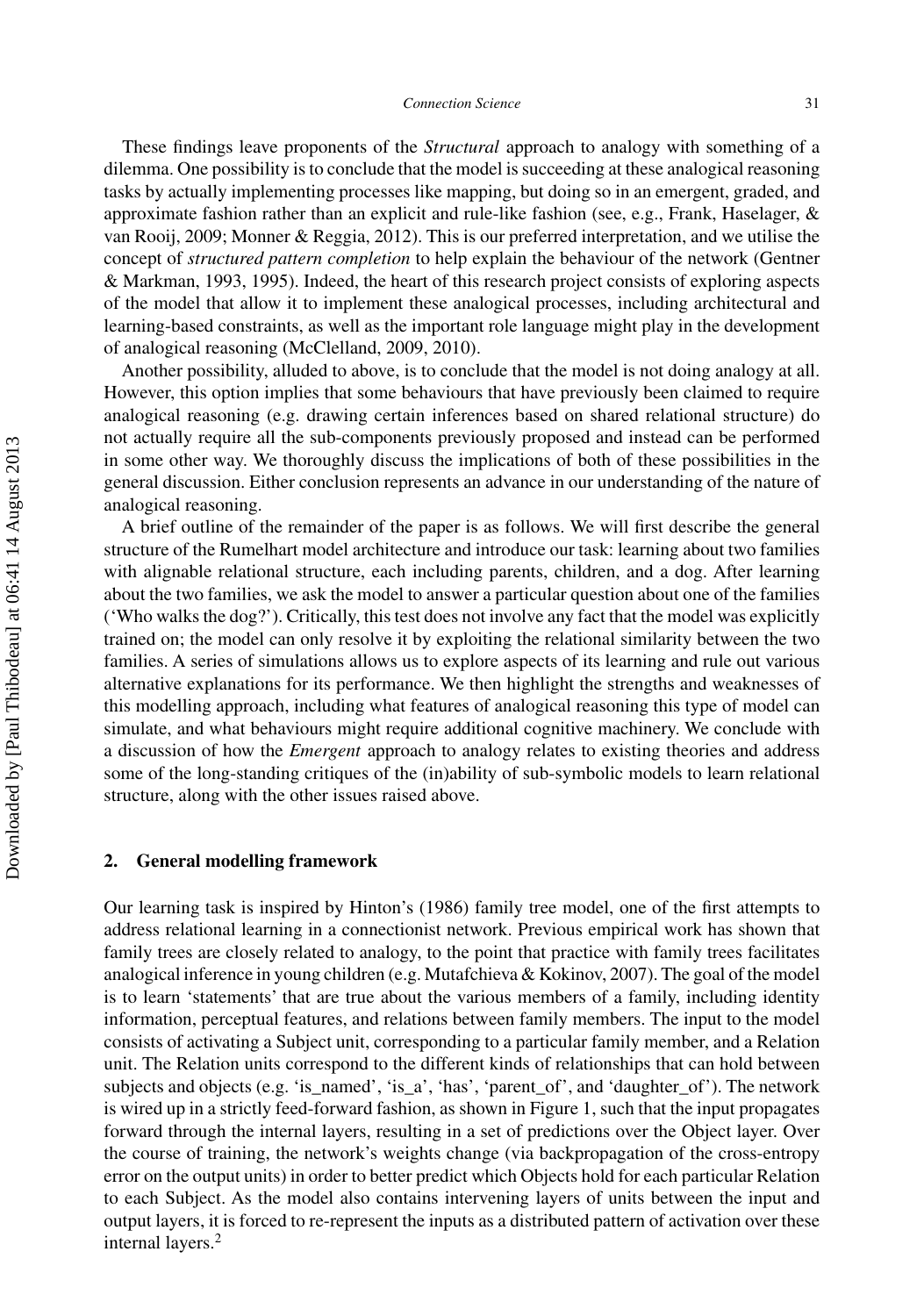These findings leave proponents of the *Structural* approach to analogy with something of a dilemma. One possibility is to conclude that the model is succeeding at these analogical reasoning tasks by actually implementing processes like mapping, but doing so in an emergent, graded, and approximate fashion rather than an explicit and rule-like fashion (see, e.g., Frank, Haselager, & van Rooij, 2009; Monner & Reggia, 2012). This is our preferred interpretation, and we utilise the concept of *structured pattern completion* to help explain the behaviour of the network (Gentner & Markman, 1993, 1995). Indeed, the heart of this research project consists of exploring aspects of the model that allow it to implement these analogical processes, including architectural and learning-based constraints, as well as the important role language might play in the development of analogical reasoning (McClelland, 2009, 2010).

Another possibility, alluded to above, is to conclude that the model is not doing analogy at all. However, this option implies that some behaviours that have previously been claimed to require analogical reasoning (e.g. drawing certain inferences based on shared relational structure) do not actually require all the sub-components previously proposed and instead can be performed in some other way. We thoroughly discuss the implications of both of these possibilities in the general discussion. Either conclusion represents an advance in our understanding of the nature of analogical reasoning.

A brief outline of the remainder of the paper is as follows. We will first describe the general structure of the Rumelhart model architecture and introduce our task: learning about two families with alignable relational structure, each including parents, children, and a dog. After learning about the two families, we ask the model to answer a particular question about one of the families ('Who walks the dog?'). Critically, this test does not involve any fact that the model was explicitly trained on; the model can only resolve it by exploiting the relational similarity between the two families. A series of simulations allows us to explore aspects of its learning and rule out various alternative explanations for its performance. We then highlight the strengths and weaknesses of this modelling approach, including what features of analogical reasoning this type of model can simulate, and what behaviours might require additional cognitive machinery. We conclude with a discussion of how the *Emergent* approach to analogy relates to existing theories and address some of the long-standing critiques of the (in)ability of sub-symbolic models to learn relational structure, along with the other issues raised above.

#### **2. General modelling framework**

Our learning task is inspired by Hinton's (1986) family tree model, one of the first attempts to address relational learning in a connectionist network. Previous empirical work has shown that family trees are closely related to analogy, to the point that practice with family trees facilitates analogical inference in young children (e.g. Mutafchieva & Kokinov, 2007). The goal of the model is to learn 'statements' that are true about the various members of a family, including identity information, perceptual features, and relations between family members. The input to the model consists of activating a Subject unit, corresponding to a particular family member, and a Relation unit. The Relation units correspond to the different kinds of relationships that can hold between subjects and objects (e.g. 'is\_named', 'is\_a', 'has', 'parent\_of', and 'daughter\_of'). The network is wired up in a strictly feed-forward fashion, as shown in Figure [1,](#page-7-0) such that the input propagates forward through the internal layers, resulting in a set of predictions over the Object layer. Over the course of training, the network's weights change (via backpropagation of the cross-entropy error on the output units) in order to better predict which Objects hold for each particular Relation to each Subject. As the model also contains intervening layers of units between the input and output layers, it is forced to re-represent the inputs as a distributed pattern of activation over these internal layers.<sup>2</sup>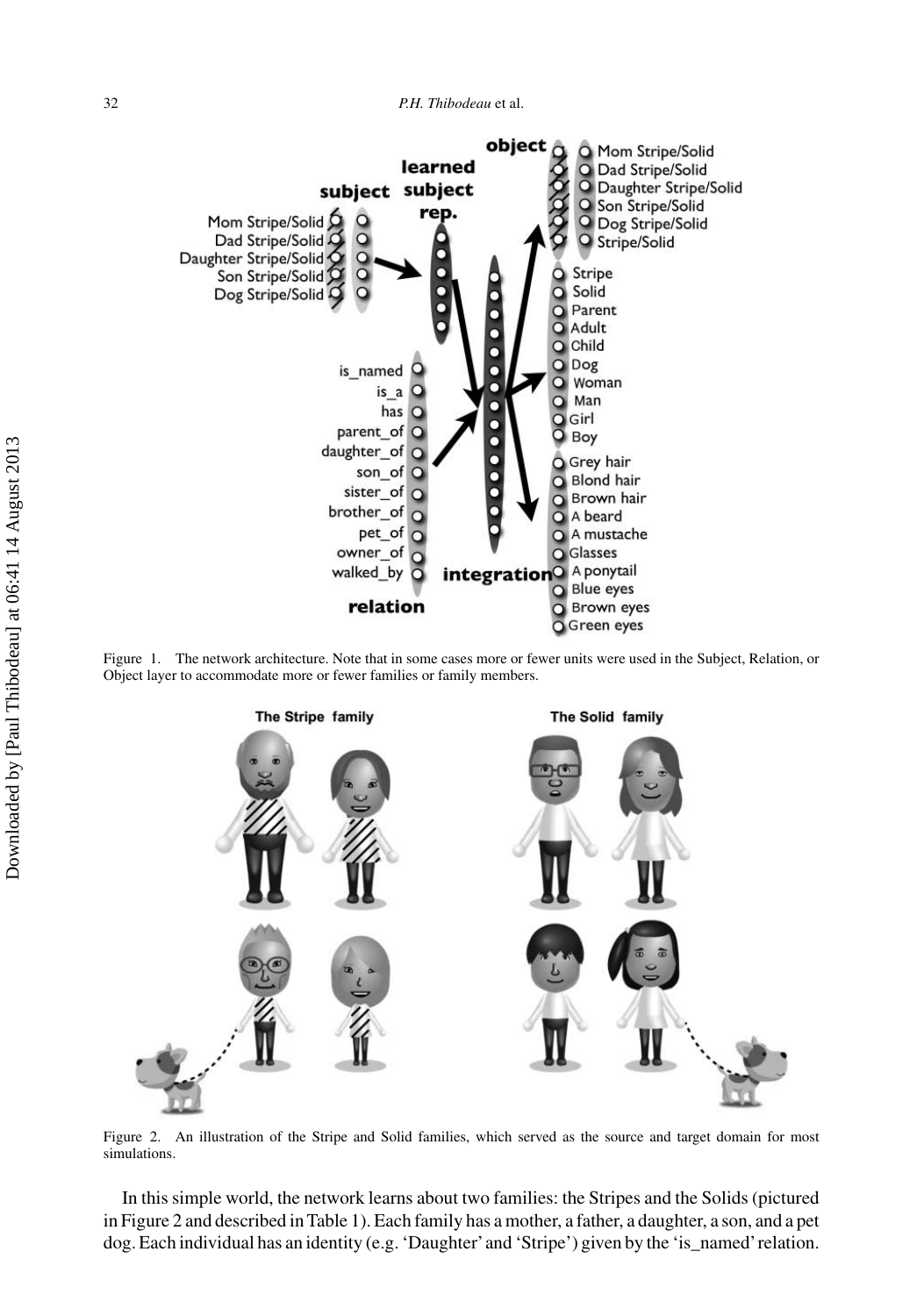<span id="page-7-0"></span>

Figure 1. The network architecture. Note that in some cases more or fewer units were used in the Subject, Relation, or Object layer to accommodate more or fewer families or family members.



Figure 2. An illustration of the Stripe and Solid families, which served as the source and target domain for most simulations.

In this simple world, the network learns about two families: the Stripes and the Solids (pictured in Figure 2 and described in Table [1\)](#page-8-0). Each family has a mother, a father, a daughter, a son, and a pet dog. Each individual has an identity (e.g. 'Daughter'and 'Stripe') given by the 'is\_named'relation.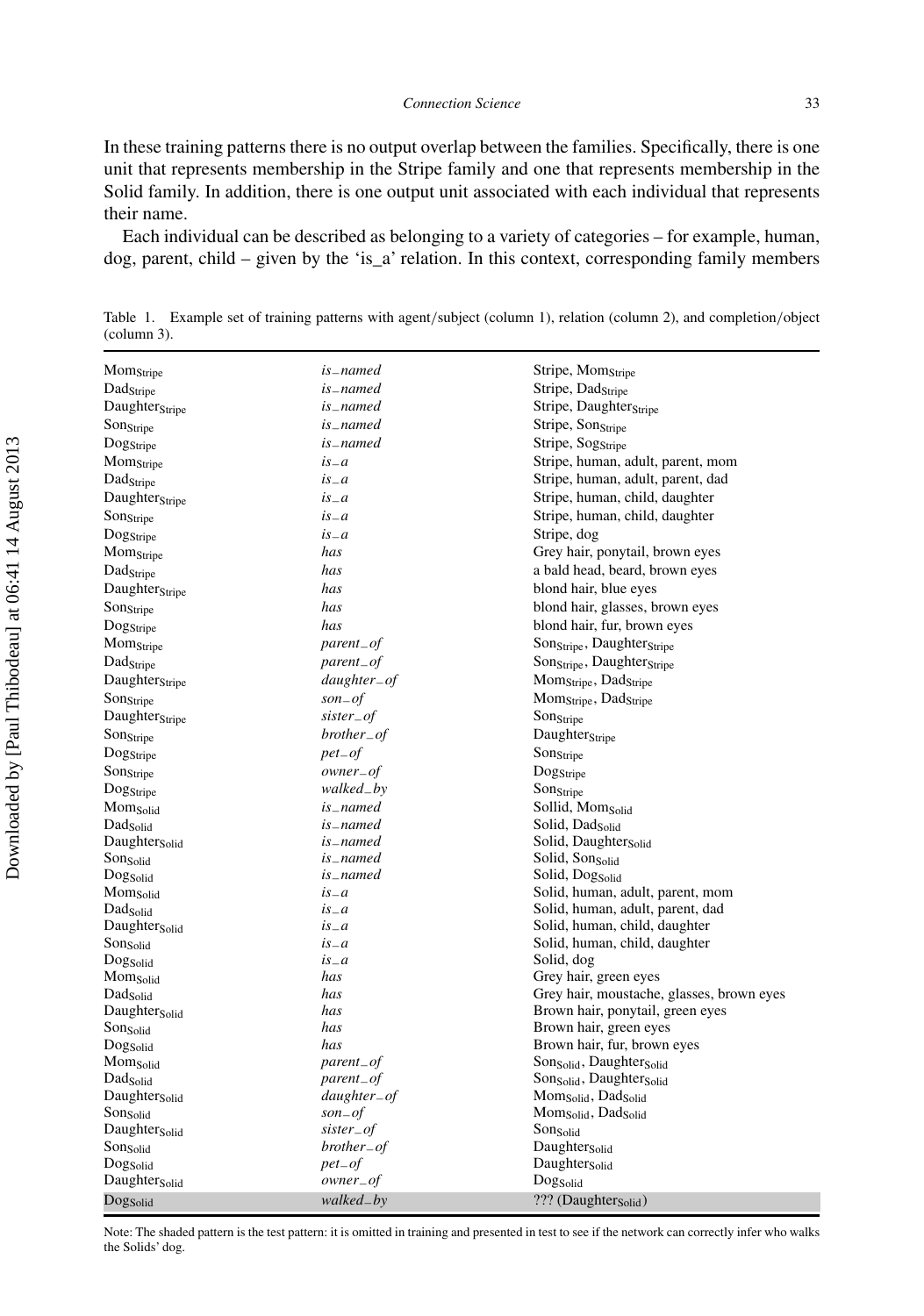<span id="page-8-0"></span>In these training patterns there is no output overlap between the families. Specifically, there is one unit that represents membership in the Stripe family and one that represents membership in the Solid family. In addition, there is one output unit associated with each individual that represents their name.

Each individual can be described as belonging to a variety of categories – for example, human, dog, parent, child – given by the 'is\_a' relation. In this context, corresponding family members

| Mom <sub>Stripe</sub>      | is_named     | Stripe, Momstripe                                  |
|----------------------------|--------------|----------------------------------------------------|
| DadStripe                  | is_named     | Stripe, Dad <sub>Stripe</sub>                      |
| Daughter <sub>Stripe</sub> | is_named     | Stripe, Daughter <sub>Stripe</sub>                 |
| Son <sub>Stripe</sub>      | is_named     | Stripe, Son <sub>Stripe</sub>                      |
| Dog <sub>Stripe</sub>      | is_named     | Stripe, Sog <sub>Stripe</sub>                      |
| Momstripe                  | $is_{-}a$    | Stripe, human, adult, parent, mom                  |
| DadStripe                  | $is_{-}a$    | Stripe, human, adult, parent, dad                  |
| DaughterStripe             | $is_{-}a$    | Stripe, human, child, daughter                     |
|                            | $is_{-}a$    | Stripe, human, child, daughter                     |
| Son <sub>Stripe</sub>      |              |                                                    |
| Dog <sub>Stripe</sub>      | $is_{-}a$    | Stripe, dog                                        |
| Momstripe                  | has          | Grey hair, ponytail, brown eyes                    |
| DadStripe                  | has          | a bald head, beard, brown eyes                     |
| DaughterStripe             | has          | blond hair, blue eyes                              |
| Son <sub>Stripe</sub>      | has          | blond hair, glasses, brown eyes                    |
| Dog <sub>Stripe</sub>      | has          | blond hair, fur, brown eyes                        |
| Momstripe                  | $parent_of$  | Son <sub>Stripe</sub> , Daughter <sub>Stripe</sub> |
| DadStripe                  | $parent_of$  | Son <sub>Stripe</sub> , Daughter <sub>Stripe</sub> |
| Daughter <sub>Stripe</sub> | daughter_of  | Momstripe, Dadstripe                               |
| Son <sub>Stripe</sub>      | son_of       | Momstripe, Dad <sub>Stripe</sub>                   |
| Daughter <sub>Stripe</sub> | sister_of    | Son <sub>Stripe</sub>                              |
| Son <sub>Stripe</sub>      | brother_of   | Daughter <sub>Stripe</sub>                         |
| Dog <sub>Stripe</sub>      | $pet\_of$    | Son <sub>Stripe</sub>                              |
| Son <sub>Stripe</sub>      | owner_of     | Dog <sub>Stripe</sub>                              |
| Dog <sub>Stripe</sub>      | walked_by    | Son <sub>Stripe</sub>                              |
| Momsolid                   | is_named     | Sollid, Mom <sub>Solid</sub>                       |
| Dad <sub>Solid</sub>       | is_named     | Solid, Dad <sub>Solid</sub>                        |
| Daughter <sub>Solid</sub>  | is_named     | Solid, Daughter <sub>Solid</sub>                   |
| Son <sub>Solid</sub>       | is_named     | Solid, Son <sub>Solid</sub>                        |
| Dog <sub>Solid</sub>       | is_named     | Solid, Dog <sub>Solid</sub>                        |
| Momsolid                   | $is_{-}a$    | Solid, human, adult, parent, mom                   |
| Dad <sub>Solid</sub>       | $is_{-}a$    | Solid, human, adult, parent, dad                   |
| Daughtersolid              | $is_{-}a$    | Solid, human, child, daughter                      |
| Son <sub>Solid</sub>       | $is_{-}a$    | Solid, human, child, daughter                      |
| Dog <sub>Solid</sub>       | $is_{-}a$    | Solid, dog                                         |
| Mom <sub>Solid</sub>       | has          | Grey hair, green eyes                              |
| Dad <sub>Solid</sub>       | has          | Grey hair, moustache, glasses, brown eyes          |
| Daughter <sub>Solid</sub>  | has          | Brown hair, ponytail, green eyes                   |
| Son <sub>Solid</sub>       | has          | Brown hair, green eyes                             |
| Dog <sub>Solid</sub>       | has          | Brown hair, fur, brown eyes                        |
| Momsolid                   | $parent\_of$ | Son <sub>Solid</sub> , Daughter <sub>Solid</sub>   |
| DadSolid                   | $parent_of$  | Son <sub>Solid</sub> , Daughter <sub>Solid</sub>   |
| Daughter <sub>Solid</sub>  | daughter_of  | Mom <sub>Solid</sub> , Dad <sub>Solid</sub>        |
| SonSolid                   | son_of       | Mom <sub>Solid</sub> , Dad <sub>Solid</sub>        |
| Daughter <sub>Solid</sub>  | sister_of    | Son <sub>Solid</sub>                               |
| Son <sub>Solid</sub>       | brother_of   | Daughter <sub>Solid</sub>                          |
| Dog <sub>Solid</sub>       | $pet\_of$    | Daughtersolid                                      |
| Daughter <sub>Solid</sub>  | owner_of     | Dog <sub>Solid</sub>                               |
| Dog <sub>Solid</sub>       | walked_by    | ??? (Daughter <sub>Solid</sub> )                   |

Table 1. Example set of training patterns with agent*/*subject (column 1), relation (column 2), and completion*/*object (column 3).

Note: The shaded pattern is the test pattern: it is omitted in training and presented in test to see if the network can correctly infer who walks the Solids' dog.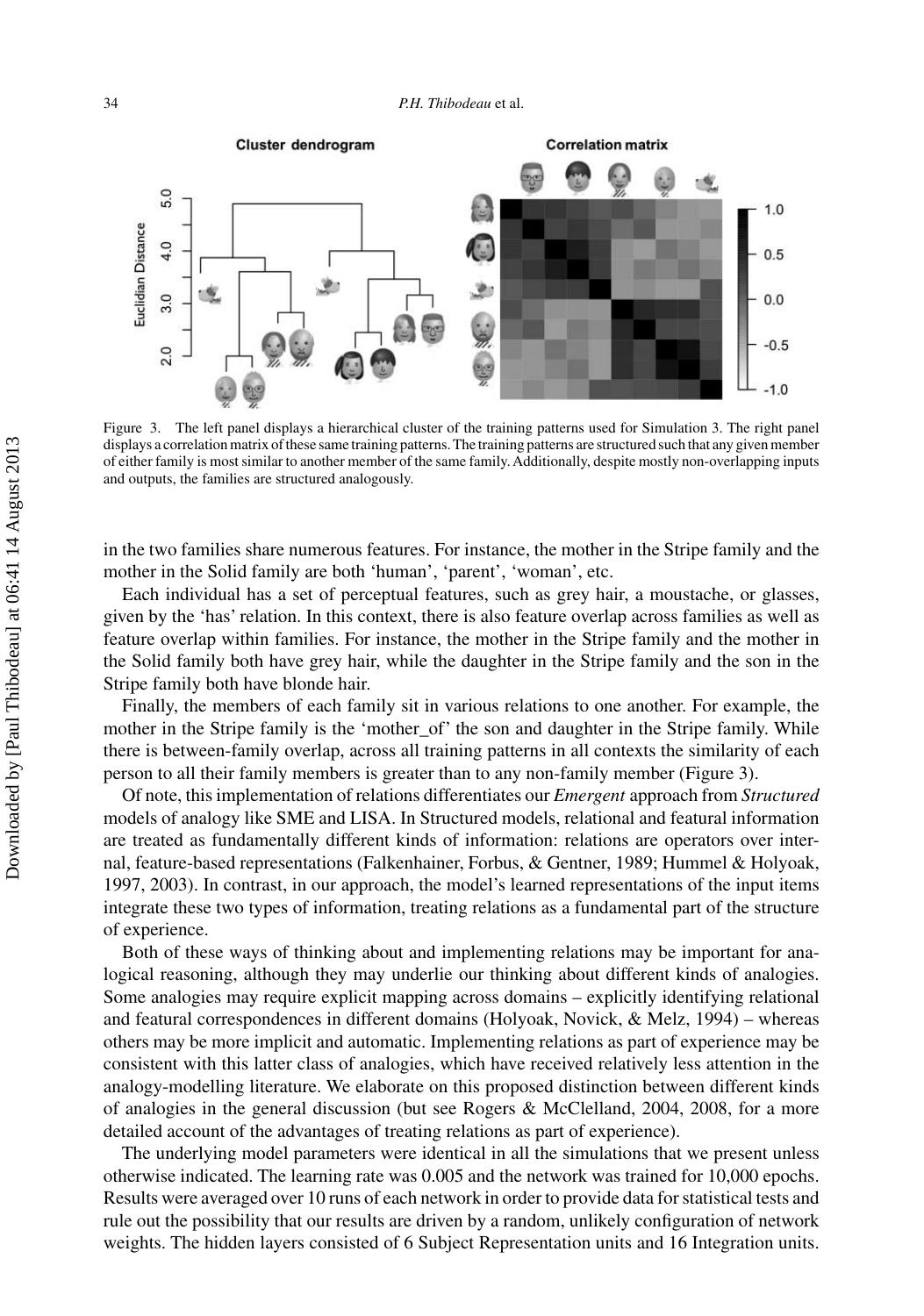<span id="page-9-0"></span>

Figure 3. The left panel displays a hierarchical cluster of the training patterns used for Simulation 3. The right panel displays a correlation matrix of these same training patterns. The training patterns are structured such that any given member of either family is most similar to another member of the same family. Additionally, despite mostly non-overlapping inputs and outputs, the families are structured analogously.

in the two families share numerous features. For instance, the mother in the Stripe family and the mother in the Solid family are both 'human', 'parent', 'woman', etc.

Each individual has a set of perceptual features, such as grey hair, a moustache, or glasses, given by the 'has' relation. In this context, there is also feature overlap across families as well as feature overlap within families. For instance, the mother in the Stripe family and the mother in the Solid family both have grey hair, while the daughter in the Stripe family and the son in the Stripe family both have blonde hair.

Finally, the members of each family sit in various relations to one another. For example, the mother in the Stripe family is the 'mother of' the son and daughter in the Stripe family. While there is between-family overlap, across all training patterns in all contexts the similarity of each person to all their family members is greater than to any non-family member (Figure 3).

Of note, this implementation of relations differentiates our *Emergent* approach from *Structured* models of analogy like SME and LISA. In Structured models, relational and featural information are treated as fundamentally different kinds of information: relations are operators over internal, feature-based representations (Falkenhainer, Forbus, & Gentner, 1989; Hummel & Holyoak, 1997, 2003). In contrast, in our approach, the model's learned representations of the input items integrate these two types of information, treating relations as a fundamental part of the structure of experience.

Both of these ways of thinking about and implementing relations may be important for analogical reasoning, although they may underlie our thinking about different kinds of analogies. Some analogies may require explicit mapping across domains – explicitly identifying relational and featural correspondences in different domains (Holyoak, Novick, & Melz, 1994) – whereas others may be more implicit and automatic. Implementing relations as part of experience may be consistent with this latter class of analogies, which have received relatively less attention in the analogy-modelling literature. We elaborate on this proposed distinction between different kinds of analogies in the general discussion (but see Rogers & McClelland, 2004, 2008, for a more detailed account of the advantages of treating relations as part of experience).

The underlying model parameters were identical in all the simulations that we present unless otherwise indicated. The learning rate was 0.005 and the network was trained for 10,000 epochs. Results were averaged over 10 runs of each network in order to provide data for statistical tests and rule out the possibility that our results are driven by a random, unlikely configuration of network weights. The hidden layers consisted of 6 Subject Representation units and 16 Integration units.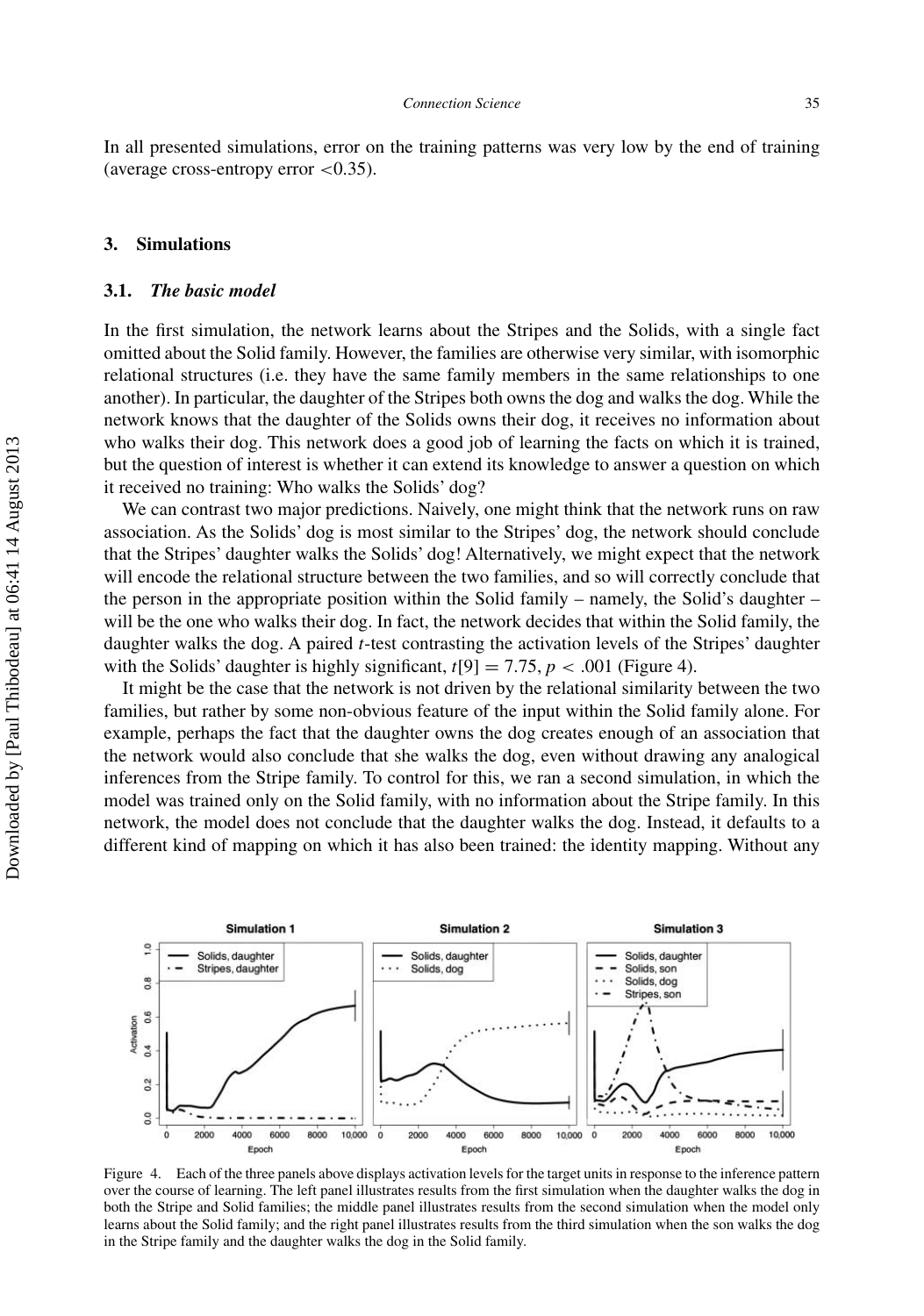<span id="page-10-0"></span>In all presented simulations, error on the training patterns was very low by the end of training (average cross-entropy error *<*0.35).

# **3. Simulations**

#### **3.1.** *The basic model*

In the first simulation, the network learns about the Stripes and the Solids, with a single fact omitted about the Solid family. However, the families are otherwise very similar, with isomorphic relational structures (i.e. they have the same family members in the same relationships to one another). In particular, the daughter of the Stripes both owns the dog and walks the dog. While the network knows that the daughter of the Solids owns their dog, it receives no information about who walks their dog. This network does a good job of learning the facts on which it is trained, but the question of interest is whether it can extend its knowledge to answer a question on which it received no training: Who walks the Solids' dog?

We can contrast two major predictions. Naively, one might think that the network runs on raw association. As the Solids' dog is most similar to the Stripes' dog, the network should conclude that the Stripes' daughter walks the Solids' dog! Alternatively, we might expect that the network will encode the relational structure between the two families, and so will correctly conclude that the person in the appropriate position within the Solid family – namely, the Solid's daughter – will be the one who walks their dog. In fact, the network decides that within the Solid family, the daughter walks the dog. A paired *t*-test contrasting the activation levels of the Stripes' daughter with the Solids' daughter is highly significant,  $t[9] = 7.75$ ,  $p < .001$  (Figure 4).

It might be the case that the network is not driven by the relational similarity between the two families, but rather by some non-obvious feature of the input within the Solid family alone. For example, perhaps the fact that the daughter owns the dog creates enough of an association that the network would also conclude that she walks the dog, even without drawing any analogical inferences from the Stripe family. To control for this, we ran a second simulation, in which the model was trained only on the Solid family, with no information about the Stripe family. In this network, the model does not conclude that the daughter walks the dog. Instead, it defaults to a different kind of mapping on which it has also been trained: the identity mapping. Without any



Figure 4. Each of the three panels above displays activation levels for the target units in response to the inference pattern over the course of learning. The left panel illustrates results from the first simulation when the daughter walks the dog in both the Stripe and Solid families; the middle panel illustrates results from the second simulation when the model only learns about the Solid family; and the right panel illustrates results from the third simulation when the son walks the dog in the Stripe family and the daughter walks the dog in the Solid family.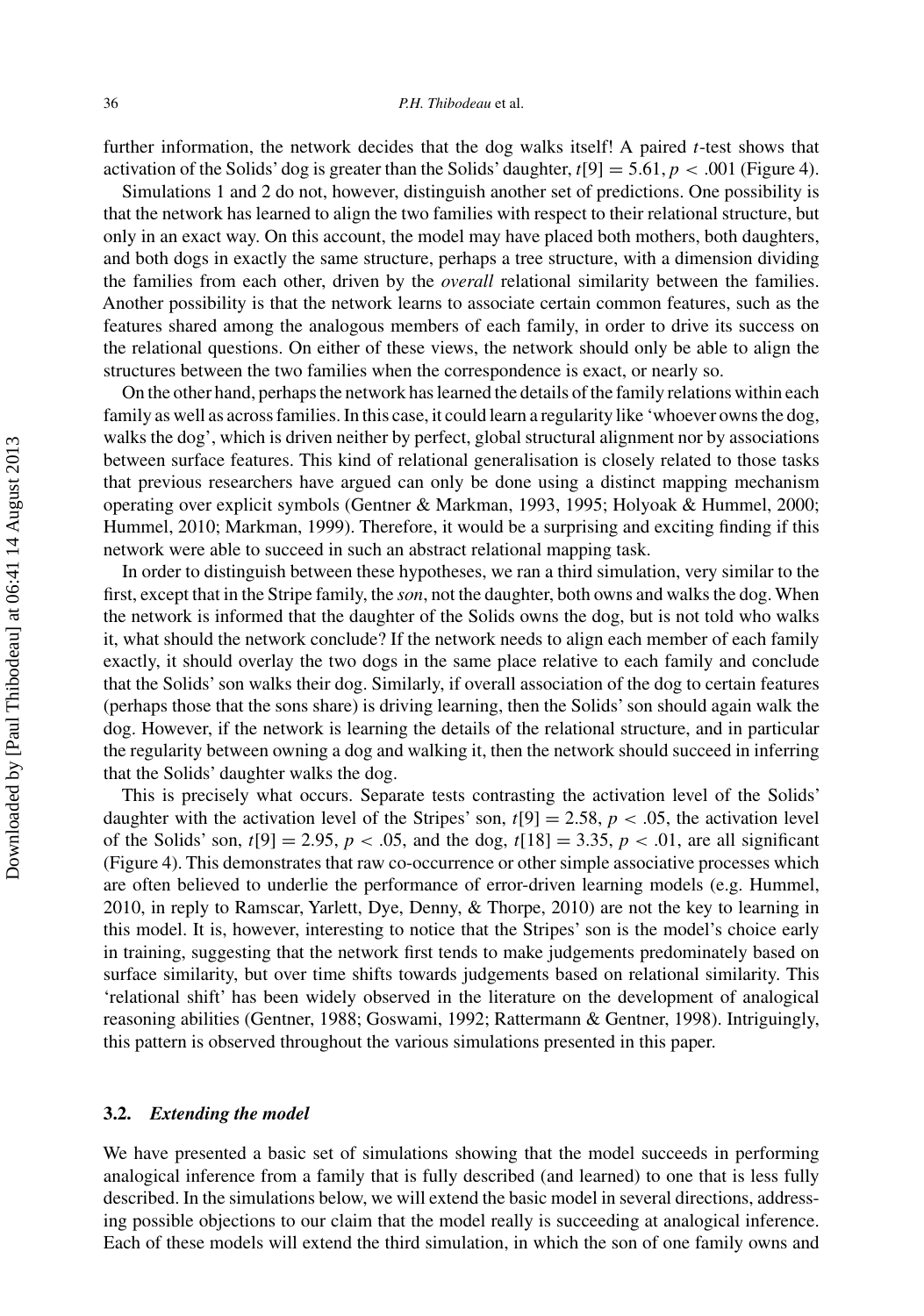further information, the network decides that the dog walks itself! A paired *t*-test shows that activation of the Solids' dog is greater than the Solids' daughter,  $t[9] = 5.61$ ,  $p < .001$  (Figure [4\)](#page-10-0).

Simulations 1 and 2 do not, however, distinguish another set of predictions. One possibility is that the network has learned to align the two families with respect to their relational structure, but only in an exact way. On this account, the model may have placed both mothers, both daughters, and both dogs in exactly the same structure, perhaps a tree structure, with a dimension dividing the families from each other, driven by the *overall* relational similarity between the families. Another possibility is that the network learns to associate certain common features, such as the features shared among the analogous members of each family, in order to drive its success on the relational questions. On either of these views, the network should only be able to align the structures between the two families when the correspondence is exact, or nearly so.

On the other hand, perhaps the network has learned the details of the family relations within each family as well as across families. In this case, it could learn a regularity like 'whoever owns the dog, walks the dog', which is driven neither by perfect, global structural alignment nor by associations between surface features. This kind of relational generalisation is closely related to those tasks that previous researchers have argued can only be done using a distinct mapping mechanism operating over explicit symbols (Gentner & Markman, 1993, 1995; Holyoak & Hummel, 2000; Hummel, 2010; Markman, 1999). Therefore, it would be a surprising and exciting finding if this network were able to succeed in such an abstract relational mapping task.

In order to distinguish between these hypotheses, we ran a third simulation, very similar to the first, except that in the Stripe family, the *son*, not the daughter, both owns and walks the dog. When the network is informed that the daughter of the Solids owns the dog, but is not told who walks it, what should the network conclude? If the network needs to align each member of each family exactly, it should overlay the two dogs in the same place relative to each family and conclude that the Solids' son walks their dog. Similarly, if overall association of the dog to certain features (perhaps those that the sons share) is driving learning, then the Solids' son should again walk the dog. However, if the network is learning the details of the relational structure, and in particular the regularity between owning a dog and walking it, then the network should succeed in inferring that the Solids' daughter walks the dog.

This is precisely what occurs. Separate tests contrasting the activation level of the Solids' daughter with the activation level of the Stripes' son,  $t[9] = 2.58$ ,  $p < .05$ , the activation level of the Solids' son,  $t[9] = 2.95$ ,  $p < .05$ , and the dog,  $t[18] = 3.35$ ,  $p < .01$ , are all significant (Figure [4\)](#page-10-0). This demonstrates that raw co-occurrence or other simple associative processes which are often believed to underlie the performance of error-driven learning models (e.g. Hummel, 2010, in reply to Ramscar, Yarlett, Dye, Denny, & Thorpe, 2010) are not the key to learning in this model. It is, however, interesting to notice that the Stripes' son is the model's choice early in training, suggesting that the network first tends to make judgements predominately based on surface similarity, but over time shifts towards judgements based on relational similarity. This 'relational shift' has been widely observed in the literature on the development of analogical reasoning abilities (Gentner, 1988; Goswami, 1992; Rattermann & Gentner, 1998). Intriguingly, this pattern is observed throughout the various simulations presented in this paper.

#### **3.2.** *Extending the model*

We have presented a basic set of simulations showing that the model succeeds in performing analogical inference from a family that is fully described (and learned) to one that is less fully described. In the simulations below, we will extend the basic model in several directions, addressing possible objections to our claim that the model really is succeeding at analogical inference. Each of these models will extend the third simulation, in which the son of one family owns and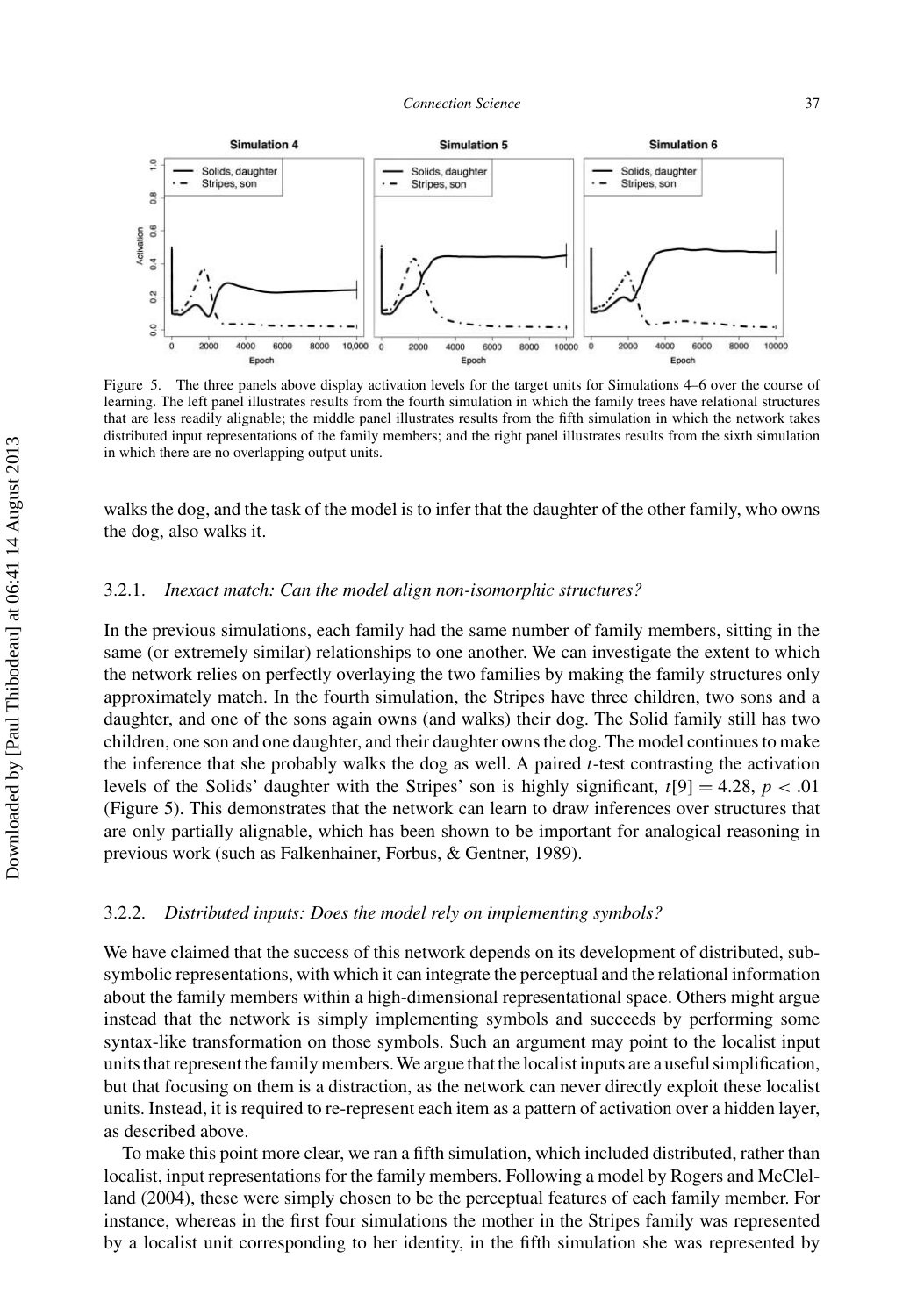<span id="page-12-0"></span>

Figure 5. The three panels above display activation levels for the target units for Simulations 4–6 over the course of learning. The left panel illustrates results from the fourth simulation in which the family trees have relational structures that are less readily alignable; the middle panel illustrates results from the fifth simulation in which the network takes distributed input representations of the family members; and the right panel illustrates results from the sixth simulation in which there are no overlapping output units.

walks the dog, and the task of the model is to infer that the daughter of the other family, who owns the dog, also walks it.

# 3.2.1. *Inexact match: Can the model align non-isomorphic structures?*

In the previous simulations, each family had the same number of family members, sitting in the same (or extremely similar) relationships to one another. We can investigate the extent to which the network relies on perfectly overlaying the two families by making the family structures only approximately match. In the fourth simulation, the Stripes have three children, two sons and a daughter, and one of the sons again owns (and walks) their dog. The Solid family still has two children, one son and one daughter, and their daughter owns the dog. The model continues to make the inference that she probably walks the dog as well. A paired *t*-test contrasting the activation levels of the Solids' daughter with the Stripes' son is highly significant,  $t[9] = 4.28$ ,  $p < .01$ (Figure 5). This demonstrates that the network can learn to draw inferences over structures that are only partially alignable, which has been shown to be important for analogical reasoning in previous work (such as Falkenhainer, Forbus, & Gentner, 1989).

# 3.2.2. *Distributed inputs: Does the model rely on implementing symbols?*

We have claimed that the success of this network depends on its development of distributed, subsymbolic representations, with which it can integrate the perceptual and the relational information about the family members within a high-dimensional representational space. Others might argue instead that the network is simply implementing symbols and succeeds by performing some syntax-like transformation on those symbols. Such an argument may point to the localist input units that represent the family members.We argue that the localist inputs are a useful simplification, but that focusing on them is a distraction, as the network can never directly exploit these localist units. Instead, it is required to re-represent each item as a pattern of activation over a hidden layer, as described above.

To make this point more clear, we ran a fifth simulation, which included distributed, rather than localist, input representations for the family members. Following a model by Rogers and McClelland (2004), these were simply chosen to be the perceptual features of each family member. For instance, whereas in the first four simulations the mother in the Stripes family was represented by a localist unit corresponding to her identity, in the fifth simulation she was represented by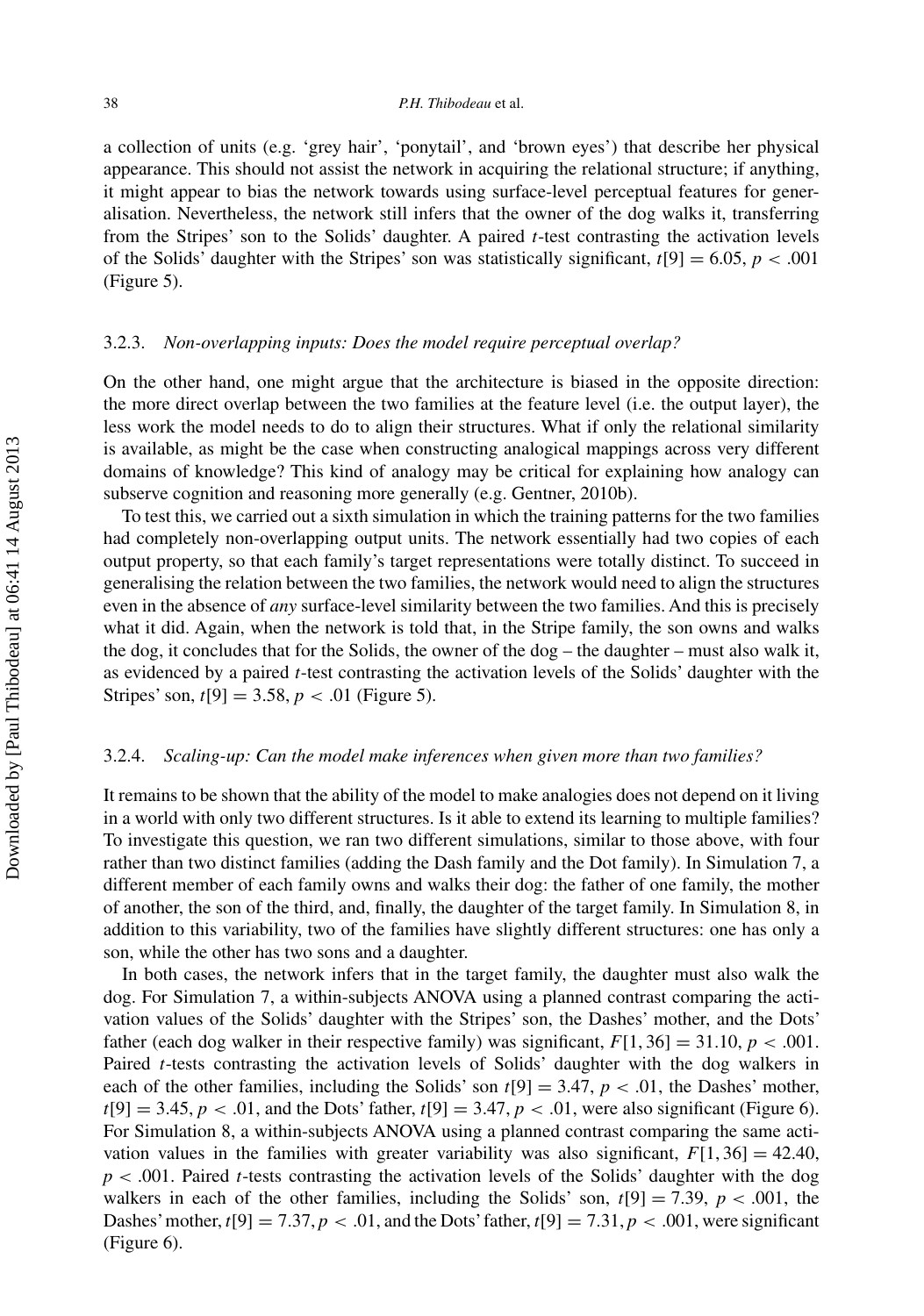#### 38 *P.H. Thibodeau* et al.

a collection of units (e.g. 'grey hair', 'ponytail', and 'brown eyes') that describe her physical appearance. This should not assist the network in acquiring the relational structure; if anything, it might appear to bias the network towards using surface-level perceptual features for generalisation. Nevertheless, the network still infers that the owner of the dog walks it, transferring from the Stripes' son to the Solids' daughter. A paired *t*-test contrasting the activation levels of the Solids' daughter with the Stripes' son was statistically significant,  $t[9] = 6.05$ ,  $p < .001$ (Figure [5\)](#page-12-0).

# 3.2.3. *Non-overlapping inputs: Does the model require perceptual overlap?*

On the other hand, one might argue that the architecture is biased in the opposite direction: the more direct overlap between the two families at the feature level (i.e. the output layer), the less work the model needs to do to align their structures. What if only the relational similarity is available, as might be the case when constructing analogical mappings across very different domains of knowledge? This kind of analogy may be critical for explaining how analogy can subserve cognition and reasoning more generally (e.g. Gentner, 2010b).

To test this, we carried out a sixth simulation in which the training patterns for the two families had completely non-overlapping output units. The network essentially had two copies of each output property, so that each family's target representations were totally distinct. To succeed in generalising the relation between the two families, the network would need to align the structures even in the absence of *any* surface-level similarity between the two families. And this is precisely what it did. Again, when the network is told that, in the Stripe family, the son owns and walks the dog, it concludes that for the Solids, the owner of the dog – the daughter – must also walk it, as evidenced by a paired *t*-test contrasting the activation levels of the Solids' daughter with the Stripes' son,  $t[9] = 3.58, p < .01$  (Figure [5\)](#page-12-0).

#### 3.2.4. *Scaling-up: Can the model make inferences when given more than two families?*

It remains to be shown that the ability of the model to make analogies does not depend on it living in a world with only two different structures. Is it able to extend its learning to multiple families? To investigate this question, we ran two different simulations, similar to those above, with four rather than two distinct families (adding the Dash family and the Dot family). In Simulation 7, a different member of each family owns and walks their dog: the father of one family, the mother of another, the son of the third, and, finally, the daughter of the target family. In Simulation 8, in addition to this variability, two of the families have slightly different structures: one has only a son, while the other has two sons and a daughter.

In both cases, the network infers that in the target family, the daughter must also walk the dog. For Simulation 7, a within-subjects ANOVA using a planned contrast comparing the activation values of the Solids' daughter with the Stripes' son, the Dashes' mother, and the Dots' father (each dog walker in their respective family) was significant,  $F[1, 36] = 31.10$ ,  $p < .001$ . Paired *t*-tests contrasting the activation levels of Solids' daughter with the dog walkers in each of the other families, including the Solids' son  $t[9] = 3.47$ ,  $p < .01$ , the Dashes' mother,  $t[9] = 3.45, p < .01$ , and the Dots' father,  $t[9] = 3.47, p < .01$ , were also significant (Figure [6\)](#page-14-0). For Simulation 8, a within-subjects ANOVA using a planned contrast comparing the same activation values in the families with greater variability was also significant,  $F[1, 36] = 42.40$ , *p <* .001. Paired *t*-tests contrasting the activation levels of the Solids' daughter with the dog walkers in each of the other families, including the Solids' son,  $t[9] = 7.39$ ,  $p < .001$ , the Dashes' mother,  $t[9] = 7.37$ ,  $p < .01$ , and the Dots' father,  $t[9] = 7.31$ ,  $p < .001$ , were significant (Figure [6\)](#page-14-0).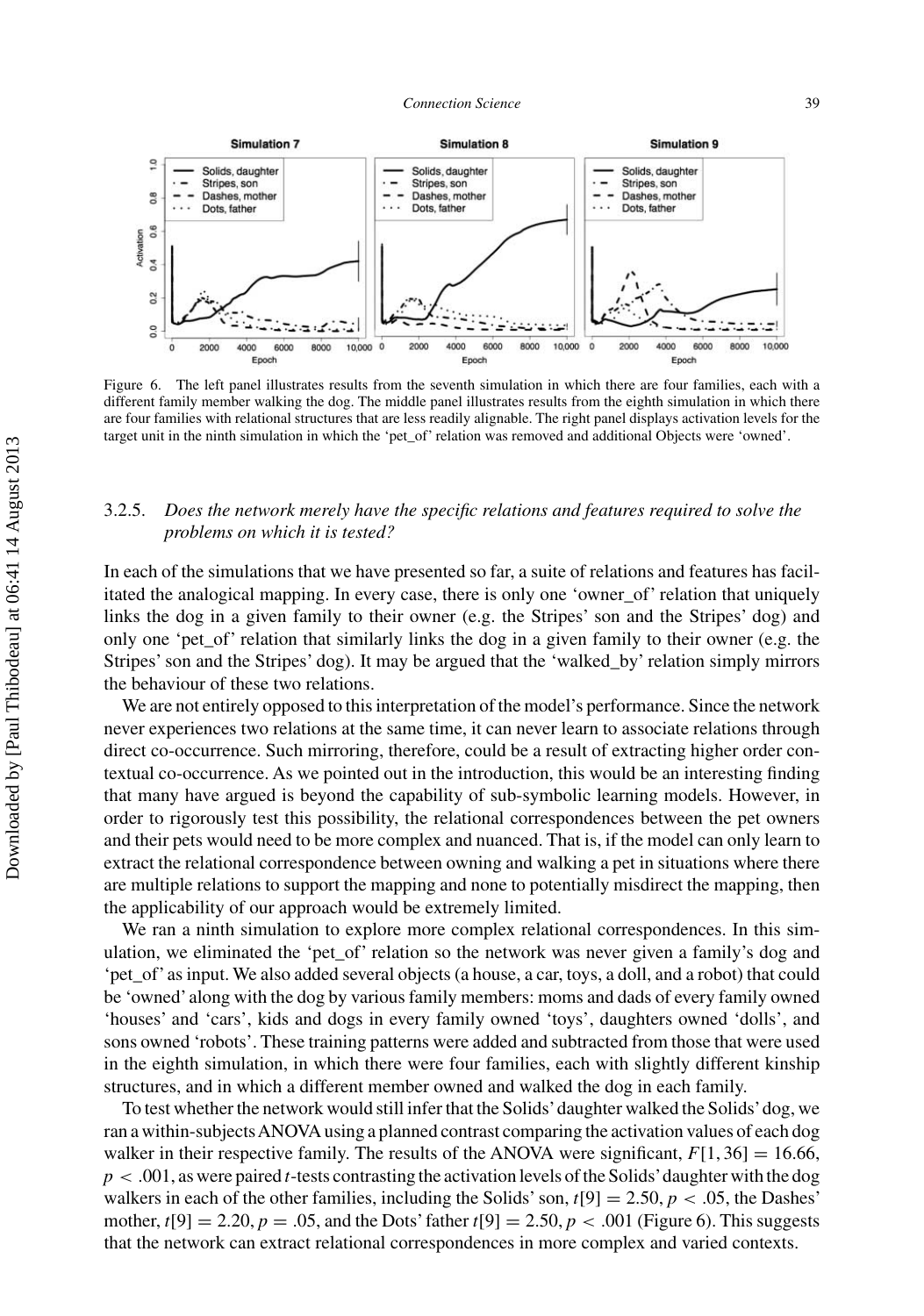<span id="page-14-0"></span>

Figure 6. The left panel illustrates results from the seventh simulation in which there are four families, each with a different family member walking the dog. The middle panel illustrates results from the eighth simulation in which there are four families with relational structures that are less readily alignable. The right panel displays activation levels for the target unit in the ninth simulation in which the 'pet\_of' relation was removed and additional Objects were 'owned'.

# 3.2.5. *Does the network merely have the specific relations and features required to solve the problems on which it is tested?*

In each of the simulations that we have presented so far, a suite of relations and features has facilitated the analogical mapping. In every case, there is only one 'owner\_of' relation that uniquely links the dog in a given family to their owner (e.g. the Stripes' son and the Stripes' dog) and only one 'pet\_of' relation that similarly links the dog in a given family to their owner (e.g. the Stripes' son and the Stripes' dog). It may be argued that the 'walked\_by' relation simply mirrors the behaviour of these two relations.

We are not entirely opposed to this interpretation of the model's performance. Since the network never experiences two relations at the same time, it can never learn to associate relations through direct co-occurrence. Such mirroring, therefore, could be a result of extracting higher order contextual co-occurrence. As we pointed out in the introduction, this would be an interesting finding that many have argued is beyond the capability of sub-symbolic learning models. However, in order to rigorously test this possibility, the relational correspondences between the pet owners and their pets would need to be more complex and nuanced. That is, if the model can only learn to extract the relational correspondence between owning and walking a pet in situations where there are multiple relations to support the mapping and none to potentially misdirect the mapping, then the applicability of our approach would be extremely limited.

We ran a ninth simulation to explore more complex relational correspondences. In this simulation, we eliminated the 'pet\_of' relation so the network was never given a family's dog and 'pet\_of'as input. We also added several objects (a house, a car, toys, a doll, and a robot) that could be 'owned'along with the dog by various family members: moms and dads of every family owned 'houses' and 'cars', kids and dogs in every family owned 'toys', daughters owned 'dolls', and sons owned 'robots'. These training patterns were added and subtracted from those that were used in the eighth simulation, in which there were four families, each with slightly different kinship structures, and in which a different member owned and walked the dog in each family.

To test whether the network would still infer that the Solids'daughter walked the Solids'dog, we ran a within-subjectsANOVA using a planned contrast comparing the activation values of each dog walker in their respective family. The results of the ANOVA were significant,  $F[1, 36] = 16.66$ ,  $p < .001$ , as were paired *t*-tests contrasting the activation levels of the Solids' daughter with the dog walkers in each of the other families, including the Solids' son,  $t[9] = 2.50, p < .05$ , the Dashes' mother,  $t[9] = 2.20$ ,  $p = .05$ , and the Dots' father  $t[9] = 2.50$ ,  $p < .001$  (Figure 6). This suggests that the network can extract relational correspondences in more complex and varied contexts.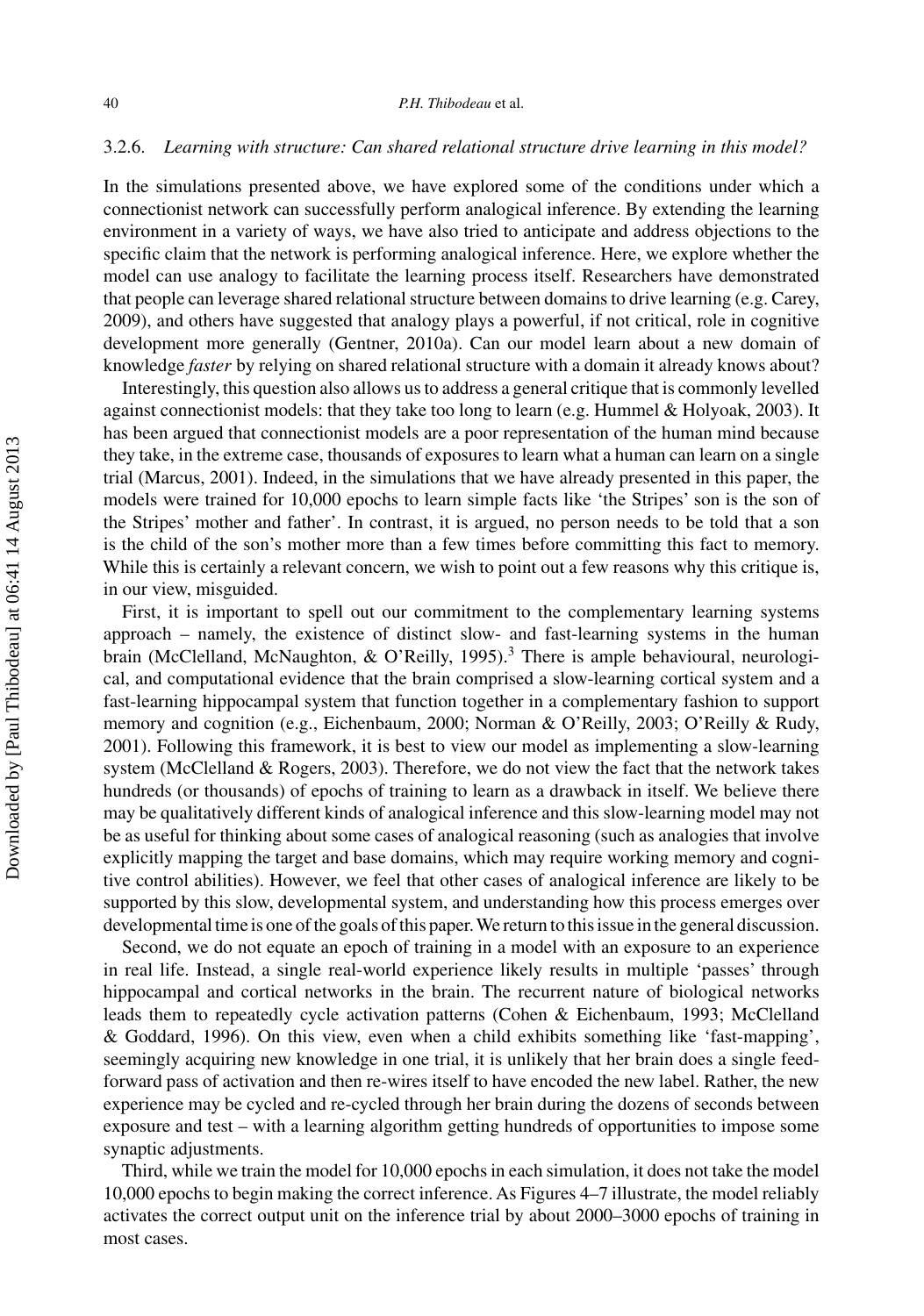# 3.2.6. *Learning with structure: Can shared relational structure drive learning in this model?*

In the simulations presented above, we have explored some of the conditions under which a connectionist network can successfully perform analogical inference. By extending the learning environment in a variety of ways, we have also tried to anticipate and address objections to the specific claim that the network is performing analogical inference. Here, we explore whether the model can use analogy to facilitate the learning process itself. Researchers have demonstrated that people can leverage shared relational structure between domains to drive learning (e.g. Carey, 2009), and others have suggested that analogy plays a powerful, if not critical, role in cognitive development more generally (Gentner, 2010a). Can our model learn about a new domain of knowledge *faster* by relying on shared relational structure with a domain it already knows about?

Interestingly, this question also allows us to address a general critique that is commonly levelled against connectionist models: that they take too long to learn (e.g. Hummel & Holyoak, 2003). It has been argued that connectionist models are a poor representation of the human mind because they take, in the extreme case, thousands of exposures to learn what a human can learn on a single trial (Marcus, 2001). Indeed, in the simulations that we have already presented in this paper, the models were trained for 10,000 epochs to learn simple facts like 'the Stripes' son is the son of the Stripes' mother and father'. In contrast, it is argued, no person needs to be told that a son is the child of the son's mother more than a few times before committing this fact to memory. While this is certainly a relevant concern, we wish to point out a few reasons why this critique is, in our view, misguided.

First, it is important to spell out our commitment to the complementary learning systems approach – namely, the existence of distinct slow- and fast-learning systems in the human brain (McClelland, McNaughton, & O'Reilly, 1995).<sup>3</sup> There is ample behavioural, neurological, and computational evidence that the brain comprised a slow-learning cortical system and a fast-learning hippocampal system that function together in a complementary fashion to support memory and cognition (e.g., Eichenbaum, 2000; Norman & O'Reilly, 2003; O'Reilly & Rudy, 2001). Following this framework, it is best to view our model as implementing a slow-learning system (McClelland & Rogers, 2003). Therefore, we do not view the fact that the network takes hundreds (or thousands) of epochs of training to learn as a drawback in itself. We believe there may be qualitatively different kinds of analogical inference and this slow-learning model may not be as useful for thinking about some cases of analogical reasoning (such as analogies that involve explicitly mapping the target and base domains, which may require working memory and cognitive control abilities). However, we feel that other cases of analogical inference are likely to be supported by this slow, developmental system, and understanding how this process emerges over developmental time is one of the goals of this paper.We return to this issue in the general discussion.

Second, we do not equate an epoch of training in a model with an exposure to an experience in real life. Instead, a single real-world experience likely results in multiple 'passes' through hippocampal and cortical networks in the brain. The recurrent nature of biological networks leads them to repeatedly cycle activation patterns (Cohen & Eichenbaum, 1993; McClelland & Goddard, 1996). On this view, even when a child exhibits something like 'fast-mapping', seemingly acquiring new knowledge in one trial, it is unlikely that her brain does a single feedforward pass of activation and then re-wires itself to have encoded the new label. Rather, the new experience may be cycled and re-cycled through her brain during the dozens of seconds between exposure and test – with a learning algorithm getting hundreds of opportunities to impose some synaptic adjustments.

Third, while we train the model for 10,000 epochs in each simulation, it does not take the model 10,000 epochs to begin making the correct inference. As Figures [4–](#page-10-0)[7](#page-16-0) illustrate, the model reliably activates the correct output unit on the inference trial by about 2000–3000 epochs of training in most cases.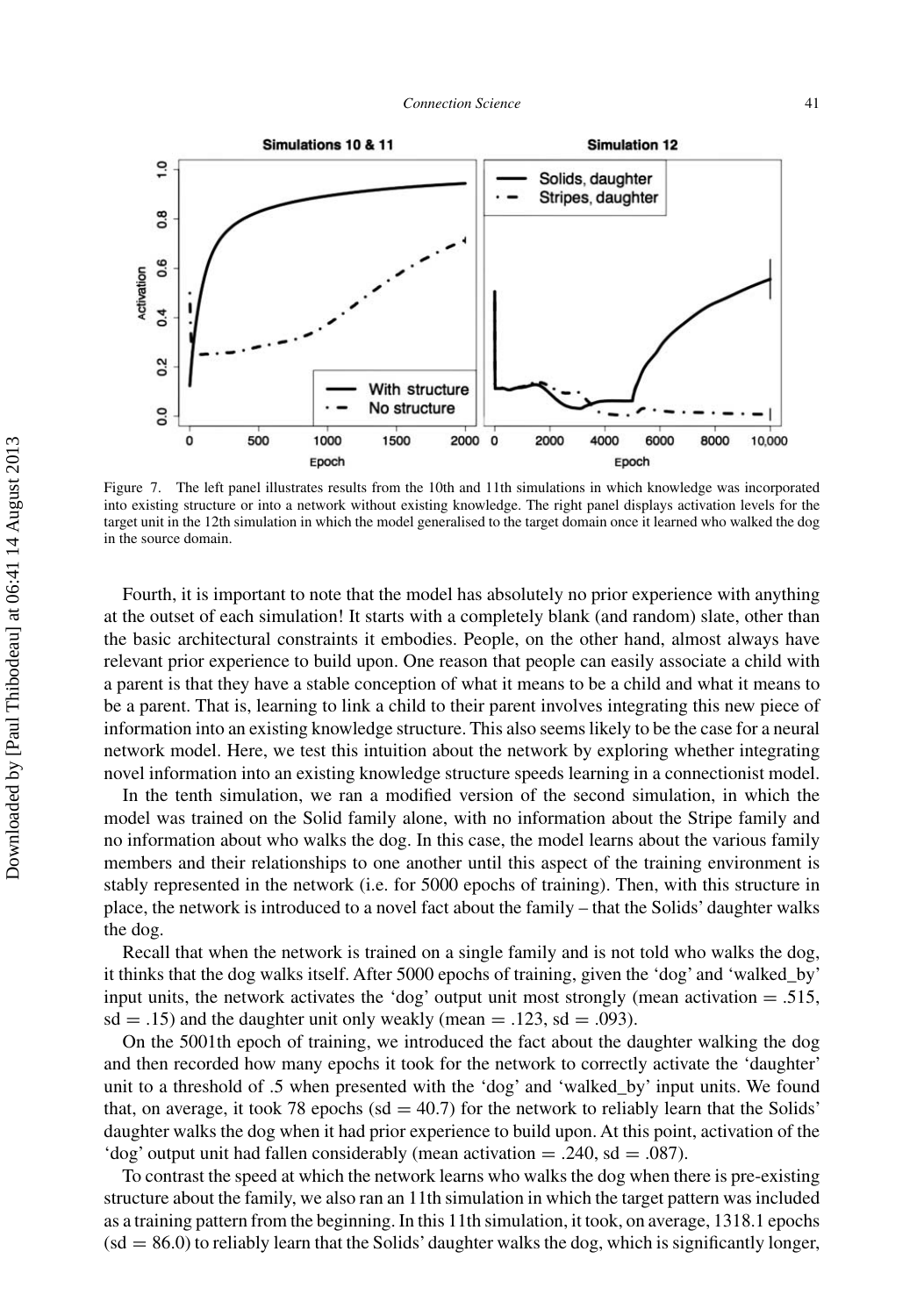<span id="page-16-0"></span>

Figure 7. The left panel illustrates results from the 10th and 11th simulations in which knowledge was incorporated into existing structure or into a network without existing knowledge. The right panel displays activation levels for the target unit in the 12th simulation in which the model generalised to the target domain once it learned who walked the dog in the source domain.

Fourth, it is important to note that the model has absolutely no prior experience with anything at the outset of each simulation! It starts with a completely blank (and random) slate, other than the basic architectural constraints it embodies. People, on the other hand, almost always have relevant prior experience to build upon. One reason that people can easily associate a child with a parent is that they have a stable conception of what it means to be a child and what it means to be a parent. That is, learning to link a child to their parent involves integrating this new piece of information into an existing knowledge structure. This also seems likely to be the case for a neural network model. Here, we test this intuition about the network by exploring whether integrating novel information into an existing knowledge structure speeds learning in a connectionist model.

In the tenth simulation, we ran a modified version of the second simulation, in which the model was trained on the Solid family alone, with no information about the Stripe family and no information about who walks the dog. In this case, the model learns about the various family members and their relationships to one another until this aspect of the training environment is stably represented in the network (i.e. for 5000 epochs of training). Then, with this structure in place, the network is introduced to a novel fact about the family – that the Solids' daughter walks the dog.

Recall that when the network is trained on a single family and is not told who walks the dog, it thinks that the dog walks itself. After 5000 epochs of training, given the 'dog' and 'walked\_by' input units, the network activates the 'dog' output unit most strongly (mean activation = .515,  $sd = .15$ ) and the daughter unit only weakly (mean = .123, sd = .093).

On the 5001th epoch of training, we introduced the fact about the daughter walking the dog and then recorded how many epochs it took for the network to correctly activate the 'daughter' unit to a threshold of .5 when presented with the 'dog' and 'walked\_by' input units. We found that, on average, it took 78 epochs ( $sd = 40.7$ ) for the network to reliably learn that the Solids' daughter walks the dog when it had prior experience to build upon. At this point, activation of the 'dog' output unit had fallen considerably (mean activation  $= .240$ , sd  $= .087$ ).

To contrast the speed at which the network learns who walks the dog when there is pre-existing structure about the family, we also ran an 11th simulation in which the target pattern was included as a training pattern from the beginning. In this 11th simulation, it took, on average, 1318.1 epochs  $(sd = 86.0)$  to reliably learn that the Solids' daughter walks the dog, which is significantly longer,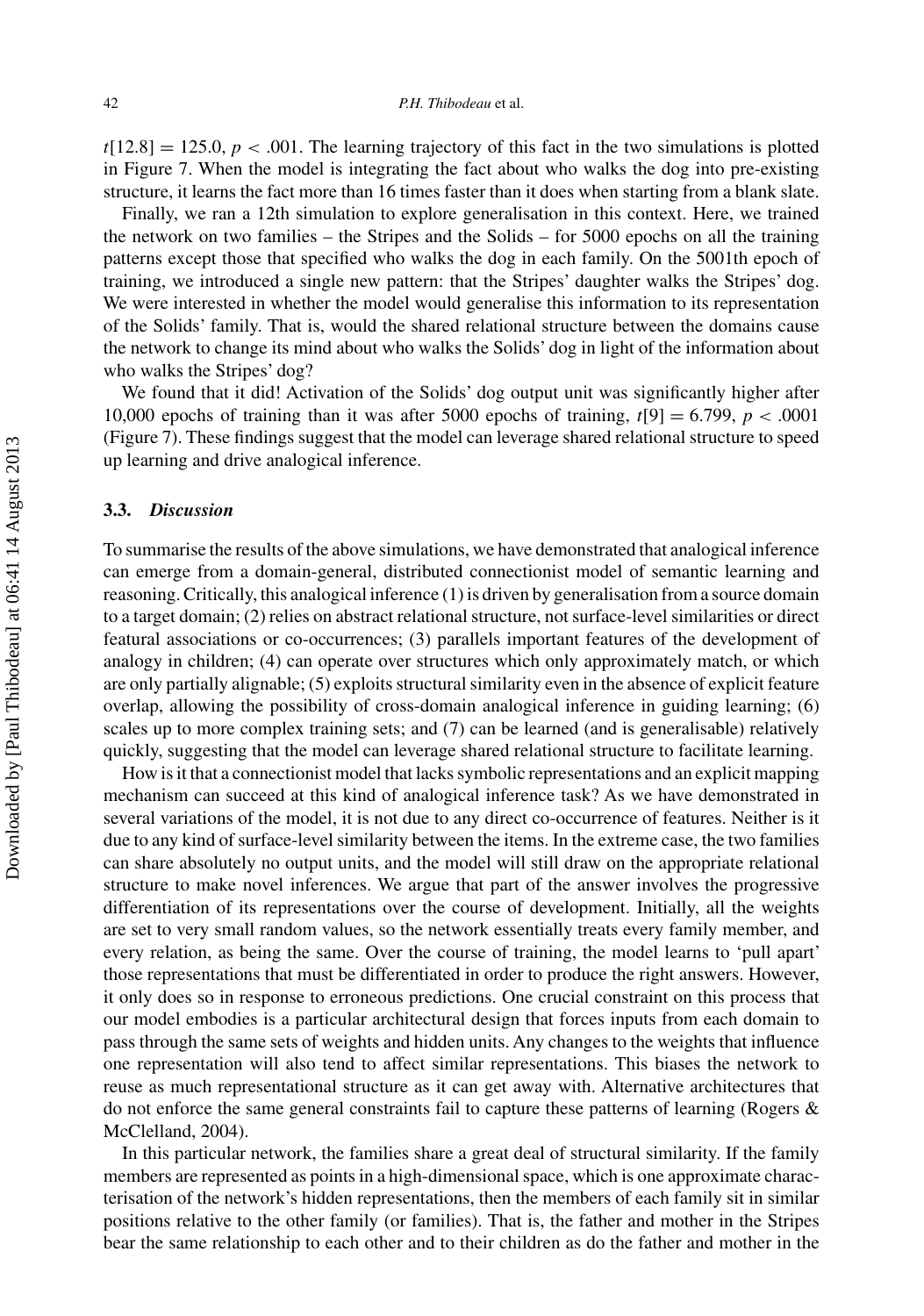$t[12.8] = 125.0, p < .001$ . The learning trajectory of this fact in the two simulations is plotted in Figure [7.](#page-16-0) When the model is integrating the fact about who walks the dog into pre-existing structure, it learns the fact more than 16 times faster than it does when starting from a blank slate.

Finally, we ran a 12th simulation to explore generalisation in this context. Here, we trained the network on two families – the Stripes and the Solids – for 5000 epochs on all the training patterns except those that specified who walks the dog in each family. On the 5001th epoch of training, we introduced a single new pattern: that the Stripes' daughter walks the Stripes' dog. We were interested in whether the model would generalise this information to its representation of the Solids' family. That is, would the shared relational structure between the domains cause the network to change its mind about who walks the Solids' dog in light of the information about who walks the Stripes' dog?

We found that it did! Activation of the Solids' dog output unit was significantly higher after 10,000 epochs of training than it was after 5000 epochs of training,  $t[9] = 6.799$ ,  $p < .0001$ (Figure [7\)](#page-16-0). These findings suggest that the model can leverage shared relational structure to speed up learning and drive analogical inference.

#### **3.3.** *Discussion*

To summarise the results of the above simulations, we have demonstrated that analogical inference can emerge from a domain-general, distributed connectionist model of semantic learning and reasoning. Critically, this analogical inference (1) is driven by generalisation from a source domain to a target domain; (2) relies on abstract relational structure, not surface-level similarities or direct featural associations or co-occurrences; (3) parallels important features of the development of analogy in children; (4) can operate over structures which only approximately match, or which are only partially alignable; (5) exploits structural similarity even in the absence of explicit feature overlap, allowing the possibility of cross-domain analogical inference in guiding learning; (6) scales up to more complex training sets; and (7) can be learned (and is generalisable) relatively quickly, suggesting that the model can leverage shared relational structure to facilitate learning.

How is it that a connectionist model that lacks symbolic representations and an explicit mapping mechanism can succeed at this kind of analogical inference task? As we have demonstrated in several variations of the model, it is not due to any direct co-occurrence of features. Neither is it due to any kind of surface-level similarity between the items. In the extreme case, the two families can share absolutely no output units, and the model will still draw on the appropriate relational structure to make novel inferences. We argue that part of the answer involves the progressive differentiation of its representations over the course of development. Initially, all the weights are set to very small random values, so the network essentially treats every family member, and every relation, as being the same. Over the course of training, the model learns to 'pull apart' those representations that must be differentiated in order to produce the right answers. However, it only does so in response to erroneous predictions. One crucial constraint on this process that our model embodies is a particular architectural design that forces inputs from each domain to pass through the same sets of weights and hidden units. Any changes to the weights that influence one representation will also tend to affect similar representations. This biases the network to reuse as much representational structure as it can get away with. Alternative architectures that do not enforce the same general constraints fail to capture these patterns of learning (Rogers & McClelland, 2004).

In this particular network, the families share a great deal of structural similarity. If the family members are represented as points in a high-dimensional space, which is one approximate characterisation of the network's hidden representations, then the members of each family sit in similar positions relative to the other family (or families). That is, the father and mother in the Stripes bear the same relationship to each other and to their children as do the father and mother in the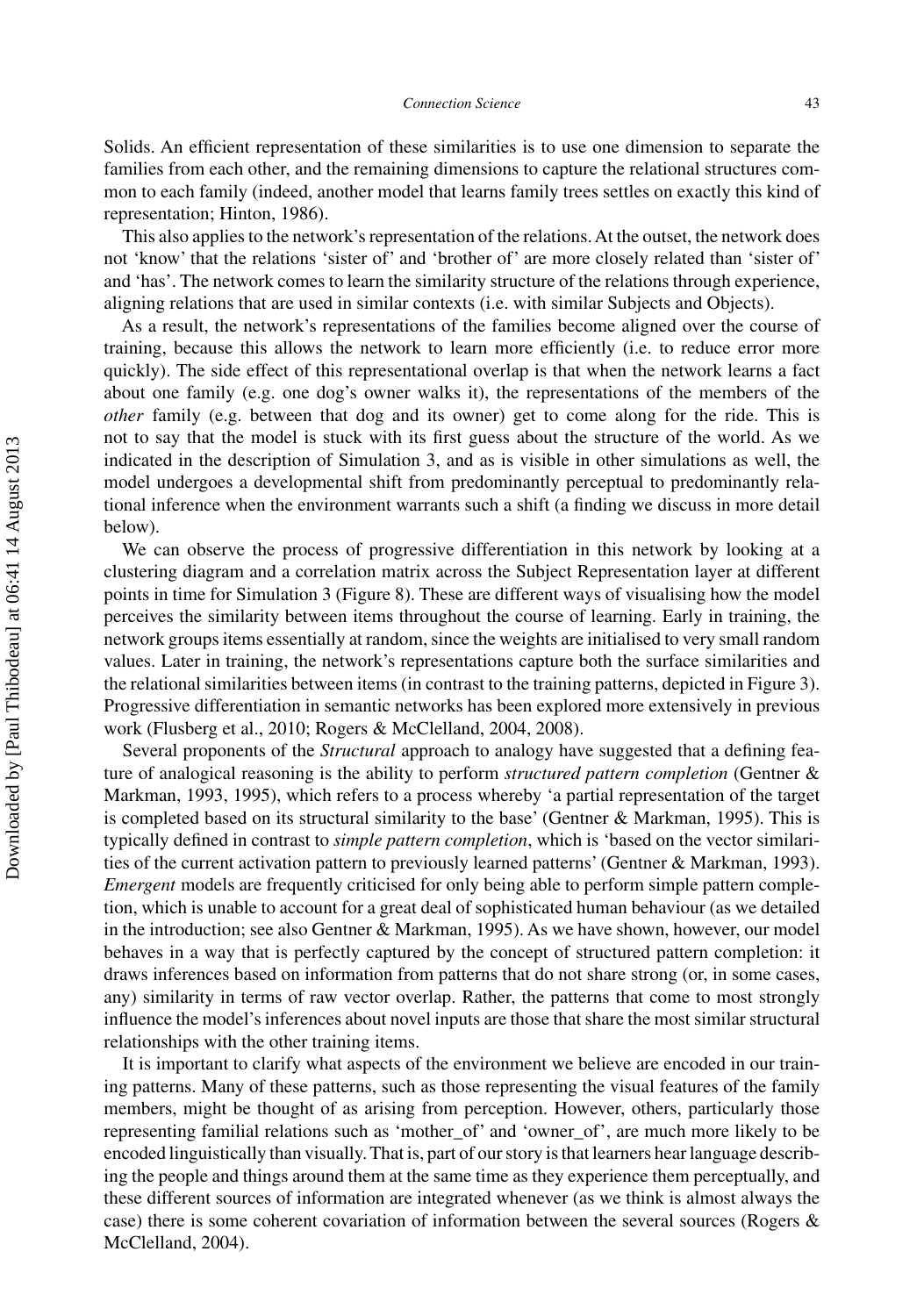Solids. An efficient representation of these similarities is to use one dimension to separate the families from each other, and the remaining dimensions to capture the relational structures common to each family (indeed, another model that learns family trees settles on exactly this kind of representation; Hinton, 1986).

This also applies to the network's representation of the relations. At the outset, the network does not 'know' that the relations 'sister of' and 'brother of' are more closely related than 'sister of' and 'has'. The network comes to learn the similarity structure of the relations through experience, aligning relations that are used in similar contexts (i.e. with similar Subjects and Objects).

As a result, the network's representations of the families become aligned over the course of training, because this allows the network to learn more efficiently (i.e. to reduce error more quickly). The side effect of this representational overlap is that when the network learns a fact about one family (e.g. one dog's owner walks it), the representations of the members of the *other* family (e.g. between that dog and its owner) get to come along for the ride. This is not to say that the model is stuck with its first guess about the structure of the world. As we indicated in the description of Simulation 3, and as is visible in other simulations as well, the model undergoes a developmental shift from predominantly perceptual to predominantly relational inference when the environment warrants such a shift (a finding we discuss in more detail below).

We can observe the process of progressive differentiation in this network by looking at a clustering diagram and a correlation matrix across the Subject Representation layer at different points in time for Simulation 3 (Figure [8\)](#page-19-0). These are different ways of visualising how the model perceives the similarity between items throughout the course of learning. Early in training, the network groups items essentially at random, since the weights are initialised to very small random values. Later in training, the network's representations capture both the surface similarities and the relational similarities between items (in contrast to the training patterns, depicted in Figure [3\)](#page-9-0). Progressive differentiation in semantic networks has been explored more extensively in previous work (Flusberg et al., 2010; Rogers & McClelland, 2004, 2008).

Several proponents of the *Structural* approach to analogy have suggested that a defining feature of analogical reasoning is the ability to perform *structured pattern completion* (Gentner & Markman, 1993, 1995), which refers to a process whereby 'a partial representation of the target is completed based on its structural similarity to the base' (Gentner & Markman, 1995). This is typically defined in contrast to *simple pattern completion*, which is 'based on the vector similarities of the current activation pattern to previously learned patterns' (Gentner & Markman, 1993). *Emergent* models are frequently criticised for only being able to perform simple pattern completion, which is unable to account for a great deal of sophisticated human behaviour (as we detailed in the introduction; see also Gentner & Markman, 1995). As we have shown, however, our model behaves in a way that is perfectly captured by the concept of structured pattern completion: it draws inferences based on information from patterns that do not share strong (or, in some cases, any) similarity in terms of raw vector overlap. Rather, the patterns that come to most strongly influence the model's inferences about novel inputs are those that share the most similar structural relationships with the other training items.

It is important to clarify what aspects of the environment we believe are encoded in our training patterns. Many of these patterns, such as those representing the visual features of the family members, might be thought of as arising from perception. However, others, particularly those representing familial relations such as 'mother\_of' and 'owner\_of', are much more likely to be encoded linguistically than visually. That is, part of our story is that learners hear language describing the people and things around them at the same time as they experience them perceptually, and these different sources of information are integrated whenever (as we think is almost always the case) there is some coherent covariation of information between the several sources (Rogers & McClelland, 2004).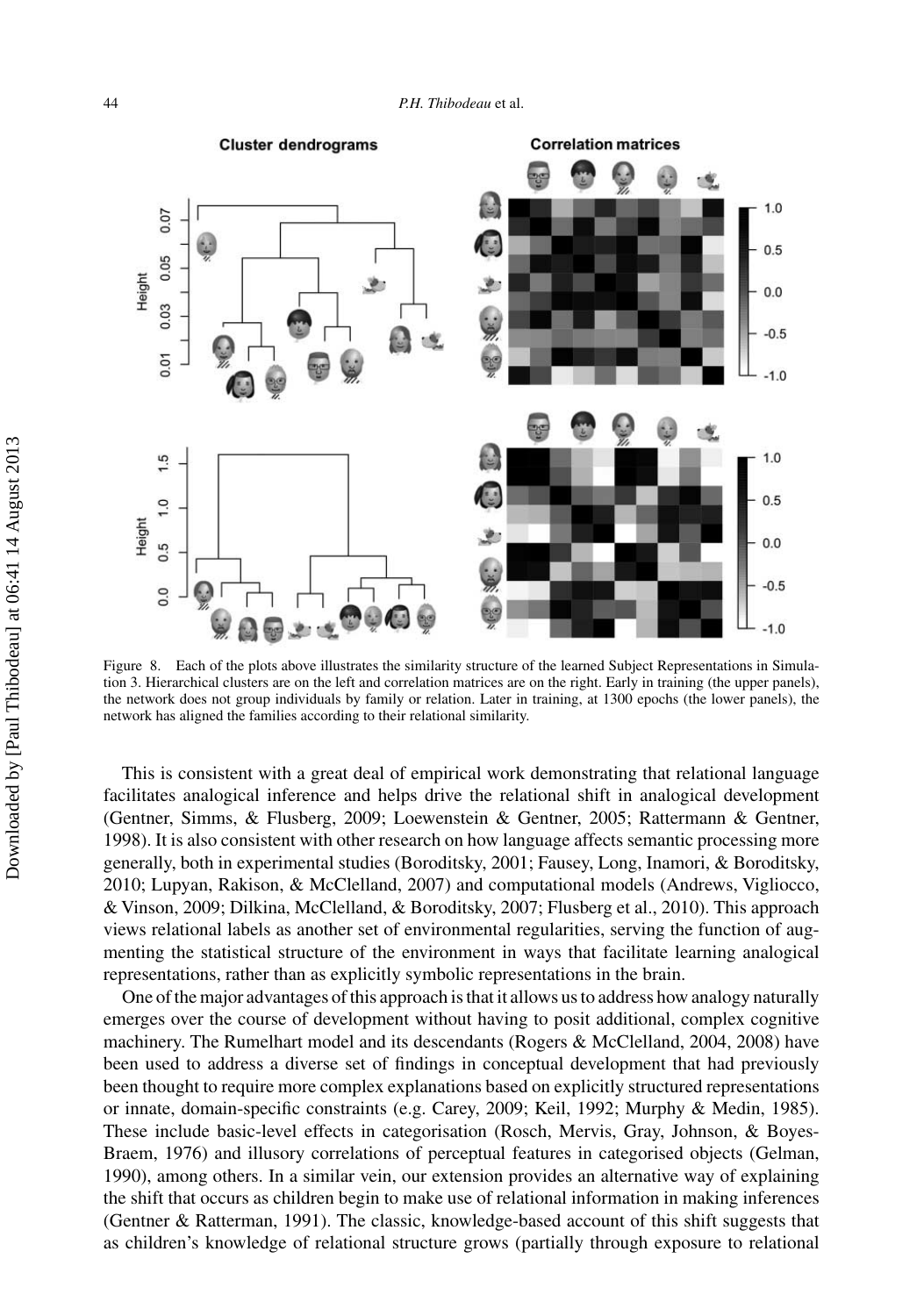<span id="page-19-0"></span>

Figure 8. Each of the plots above illustrates the similarity structure of the learned Subject Representations in Simulation 3. Hierarchical clusters are on the left and correlation matrices are on the right. Early in training (the upper panels), the network does not group individuals by family or relation. Later in training, at 1300 epochs (the lower panels), the network has aligned the families according to their relational similarity.

This is consistent with a great deal of empirical work demonstrating that relational language facilitates analogical inference and helps drive the relational shift in analogical development (Gentner, Simms, & Flusberg, 2009; Loewenstein & Gentner, 2005; Rattermann & Gentner, 1998). It is also consistent with other research on how language affects semantic processing more generally, both in experimental studies (Boroditsky, 2001; Fausey, Long, Inamori, & Boroditsky, 2010; Lupyan, Rakison, & McClelland, 2007) and computational models (Andrews, Vigliocco, & Vinson, 2009; Dilkina, McClelland, & Boroditsky, 2007; Flusberg et al., 2010). This approach views relational labels as another set of environmental regularities, serving the function of augmenting the statistical structure of the environment in ways that facilitate learning analogical representations, rather than as explicitly symbolic representations in the brain.

One of the major advantages of this approach is that it allows us to address how analogy naturally emerges over the course of development without having to posit additional, complex cognitive machinery. The Rumelhart model and its descendants (Rogers & McClelland, 2004, 2008) have been used to address a diverse set of findings in conceptual development that had previously been thought to require more complex explanations based on explicitly structured representations or innate, domain-specific constraints (e.g. Carey, 2009; Keil, 1992; Murphy & Medin, 1985). These include basic-level effects in categorisation (Rosch, Mervis, Gray, Johnson, & Boyes-Braem, 1976) and illusory correlations of perceptual features in categorised objects (Gelman, 1990), among others. In a similar vein, our extension provides an alternative way of explaining the shift that occurs as children begin to make use of relational information in making inferences (Gentner & Ratterman, 1991). The classic, knowledge-based account of this shift suggests that as children's knowledge of relational structure grows (partially through exposure to relational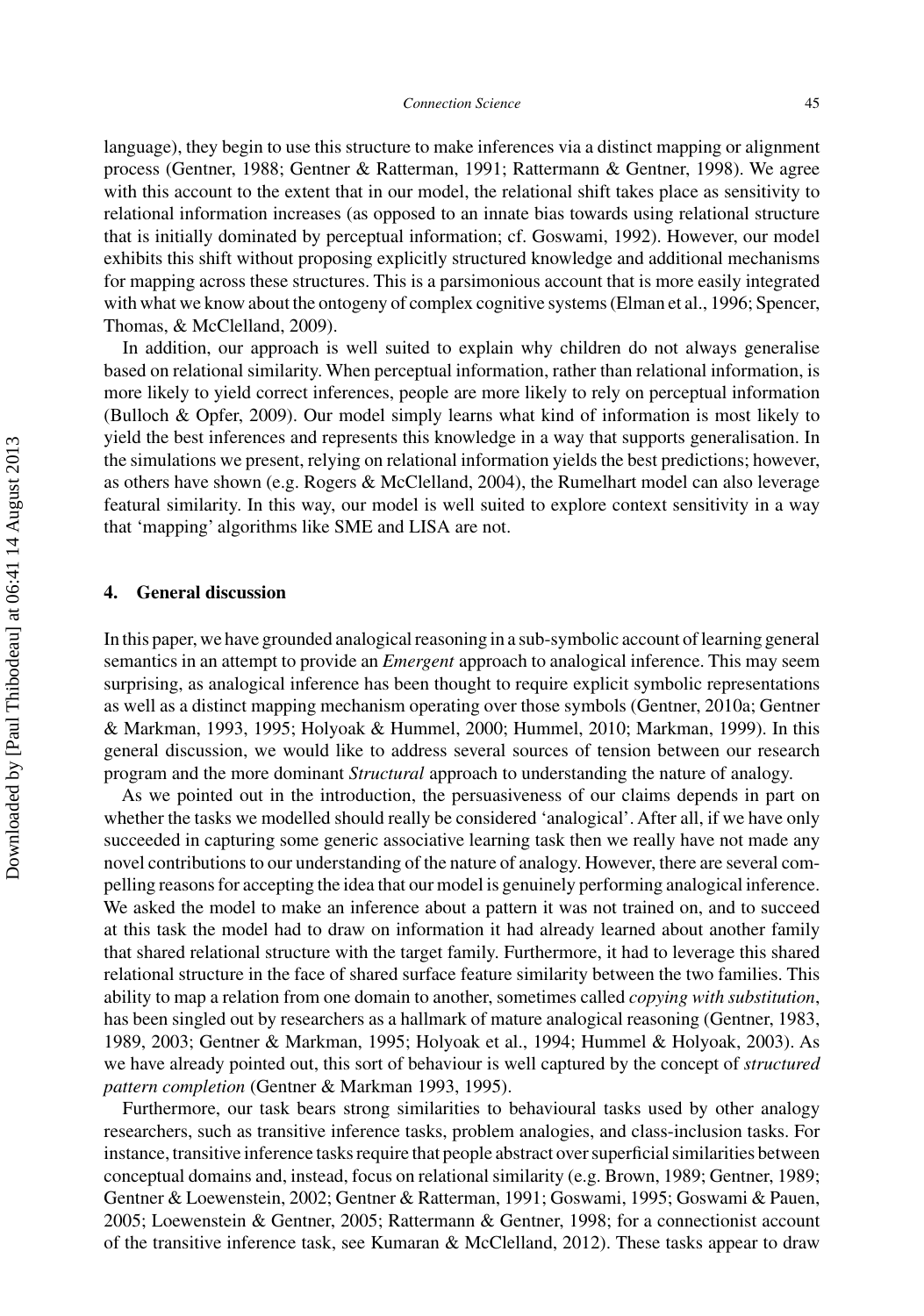language), they begin to use this structure to make inferences via a distinct mapping or alignment process (Gentner, 1988; Gentner & Ratterman, 1991; Rattermann & Gentner, 1998). We agree with this account to the extent that in our model, the relational shift takes place as sensitivity to relational information increases (as opposed to an innate bias towards using relational structure that is initially dominated by perceptual information; cf. Goswami, 1992). However, our model exhibits this shift without proposing explicitly structured knowledge and additional mechanisms for mapping across these structures. This is a parsimonious account that is more easily integrated with what we know about the ontogeny of complex cognitive systems (Elman et al., 1996; Spencer, Thomas, & McClelland, 2009).

In addition, our approach is well suited to explain why children do not always generalise based on relational similarity. When perceptual information, rather than relational information, is more likely to yield correct inferences, people are more likely to rely on perceptual information (Bulloch & Opfer, 2009). Our model simply learns what kind of information is most likely to yield the best inferences and represents this knowledge in a way that supports generalisation. In the simulations we present, relying on relational information yields the best predictions; however, as others have shown (e.g. Rogers & McClelland, 2004), the Rumelhart model can also leverage featural similarity. In this way, our model is well suited to explore context sensitivity in a way that 'mapping' algorithms like SME and LISA are not.

### **4. General discussion**

In this paper, we have grounded analogical reasoning in a sub-symbolic account of learning general semantics in an attempt to provide an *Emergent* approach to analogical inference. This may seem surprising, as analogical inference has been thought to require explicit symbolic representations as well as a distinct mapping mechanism operating over those symbols (Gentner, 2010a; Gentner & Markman, 1993, 1995; Holyoak & Hummel, 2000; Hummel, 2010; Markman, 1999). In this general discussion, we would like to address several sources of tension between our research program and the more dominant *Structural* approach to understanding the nature of analogy.

As we pointed out in the introduction, the persuasiveness of our claims depends in part on whether the tasks we modelled should really be considered 'analogical'. After all, if we have only succeeded in capturing some generic associative learning task then we really have not made any novel contributions to our understanding of the nature of analogy. However, there are several compelling reasons for accepting the idea that our model is genuinely performing analogical inference. We asked the model to make an inference about a pattern it was not trained on, and to succeed at this task the model had to draw on information it had already learned about another family that shared relational structure with the target family. Furthermore, it had to leverage this shared relational structure in the face of shared surface feature similarity between the two families. This ability to map a relation from one domain to another, sometimes called *copying with substitution*, has been singled out by researchers as a hallmark of mature analogical reasoning (Gentner, 1983, 1989, 2003; Gentner & Markman, 1995; Holyoak et al., 1994; Hummel & Holyoak, 2003). As we have already pointed out, this sort of behaviour is well captured by the concept of *structured pattern completion* (Gentner & Markman 1993, 1995).

Furthermore, our task bears strong similarities to behavioural tasks used by other analogy researchers, such as transitive inference tasks, problem analogies, and class-inclusion tasks. For instance, transitive inference tasks require that people abstract over superficial similarities between conceptual domains and, instead, focus on relational similarity (e.g. Brown, 1989; Gentner, 1989; Gentner & Loewenstein, 2002; Gentner & Ratterman, 1991; Goswami, 1995; Goswami & Pauen, 2005; Loewenstein & Gentner, 2005; Rattermann & Gentner, 1998; for a connectionist account of the transitive inference task, see Kumaran & McClelland, 2012). These tasks appear to draw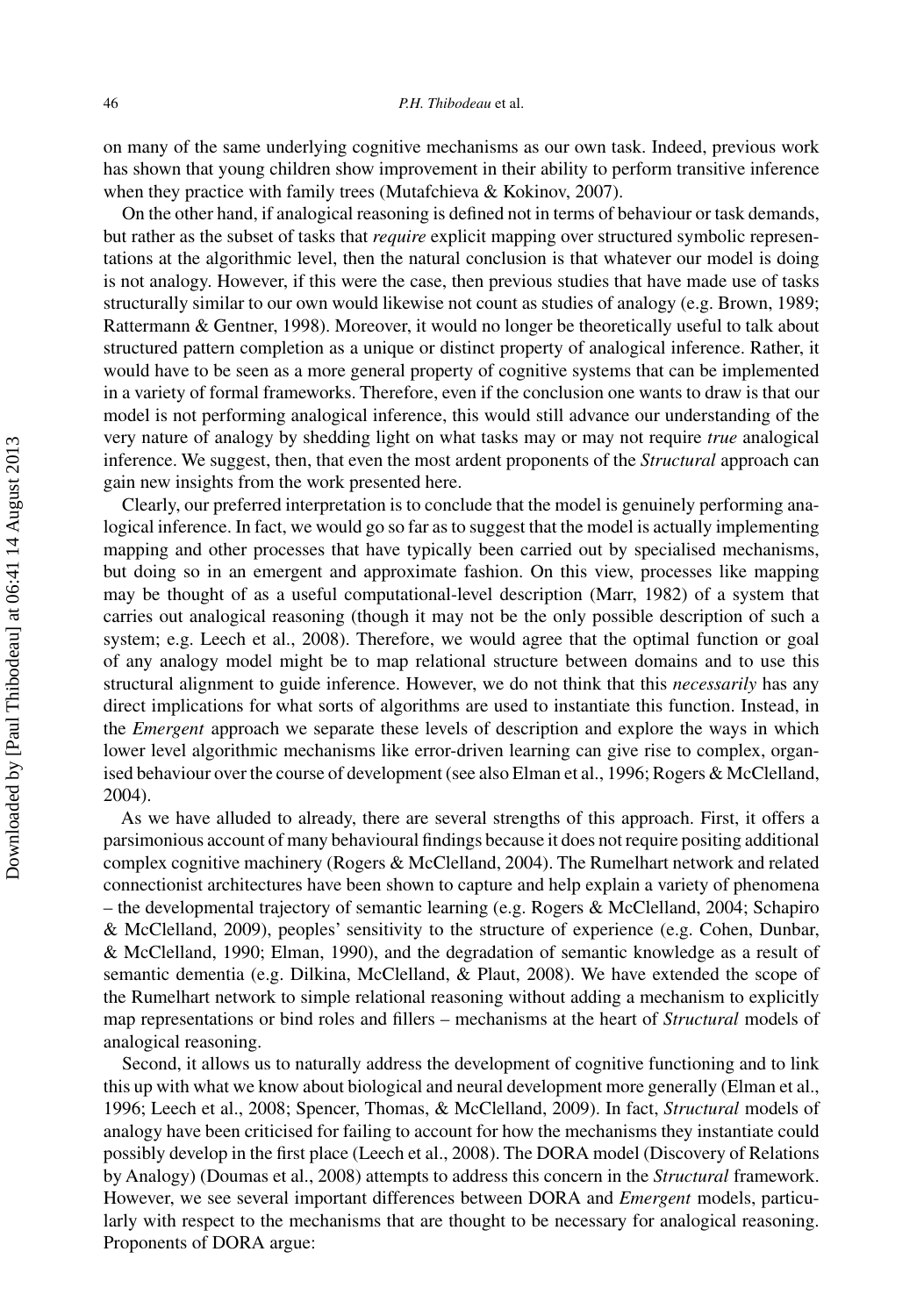on many of the same underlying cognitive mechanisms as our own task. Indeed, previous work has shown that young children show improvement in their ability to perform transitive inference when they practice with family trees (Mutafchieva & Kokinov, 2007).

On the other hand, if analogical reasoning is defined not in terms of behaviour or task demands, but rather as the subset of tasks that *require* explicit mapping over structured symbolic representations at the algorithmic level, then the natural conclusion is that whatever our model is doing is not analogy. However, if this were the case, then previous studies that have made use of tasks structurally similar to our own would likewise not count as studies of analogy (e.g. Brown, 1989; Rattermann & Gentner, 1998). Moreover, it would no longer be theoretically useful to talk about structured pattern completion as a unique or distinct property of analogical inference. Rather, it would have to be seen as a more general property of cognitive systems that can be implemented in a variety of formal frameworks. Therefore, even if the conclusion one wants to draw is that our model is not performing analogical inference, this would still advance our understanding of the very nature of analogy by shedding light on what tasks may or may not require *true* analogical inference. We suggest, then, that even the most ardent proponents of the *Structural* approach can gain new insights from the work presented here.

Clearly, our preferred interpretation is to conclude that the model is genuinely performing analogical inference. In fact, we would go so far as to suggest that the model is actually implementing mapping and other processes that have typically been carried out by specialised mechanisms, but doing so in an emergent and approximate fashion. On this view, processes like mapping may be thought of as a useful computational-level description (Marr, 1982) of a system that carries out analogical reasoning (though it may not be the only possible description of such a system; e.g. Leech et al., 2008). Therefore, we would agree that the optimal function or goal of any analogy model might be to map relational structure between domains and to use this structural alignment to guide inference. However, we do not think that this *necessarily* has any direct implications for what sorts of algorithms are used to instantiate this function. Instead, in the *Emergent* approach we separate these levels of description and explore the ways in which lower level algorithmic mechanisms like error-driven learning can give rise to complex, organised behaviour over the course of development (see also Elman et al., 1996; Rogers & McClelland, 2004).

As we have alluded to already, there are several strengths of this approach. First, it offers a parsimonious account of many behavioural findings because it does not require positing additional complex cognitive machinery (Rogers & McClelland, 2004). The Rumelhart network and related connectionist architectures have been shown to capture and help explain a variety of phenomena – the developmental trajectory of semantic learning (e.g. Rogers & McClelland, 2004; Schapiro & McClelland, 2009), peoples' sensitivity to the structure of experience (e.g. Cohen, Dunbar, & McClelland, 1990; Elman, 1990), and the degradation of semantic knowledge as a result of semantic dementia (e.g. Dilkina, McClelland, & Plaut, 2008). We have extended the scope of the Rumelhart network to simple relational reasoning without adding a mechanism to explicitly map representations or bind roles and fillers – mechanisms at the heart of *Structural* models of analogical reasoning.

Second, it allows us to naturally address the development of cognitive functioning and to link this up with what we know about biological and neural development more generally (Elman et al., 1996; Leech et al., 2008; Spencer, Thomas, & McClelland, 2009). In fact, *Structural* models of analogy have been criticised for failing to account for how the mechanisms they instantiate could possibly develop in the first place (Leech et al., 2008). The DORA model (Discovery of Relations by Analogy) (Doumas et al., 2008) attempts to address this concern in the *Structural* framework. However, we see several important differences between DORA and *Emergent* models, particularly with respect to the mechanisms that are thought to be necessary for analogical reasoning. Proponents of DORA argue: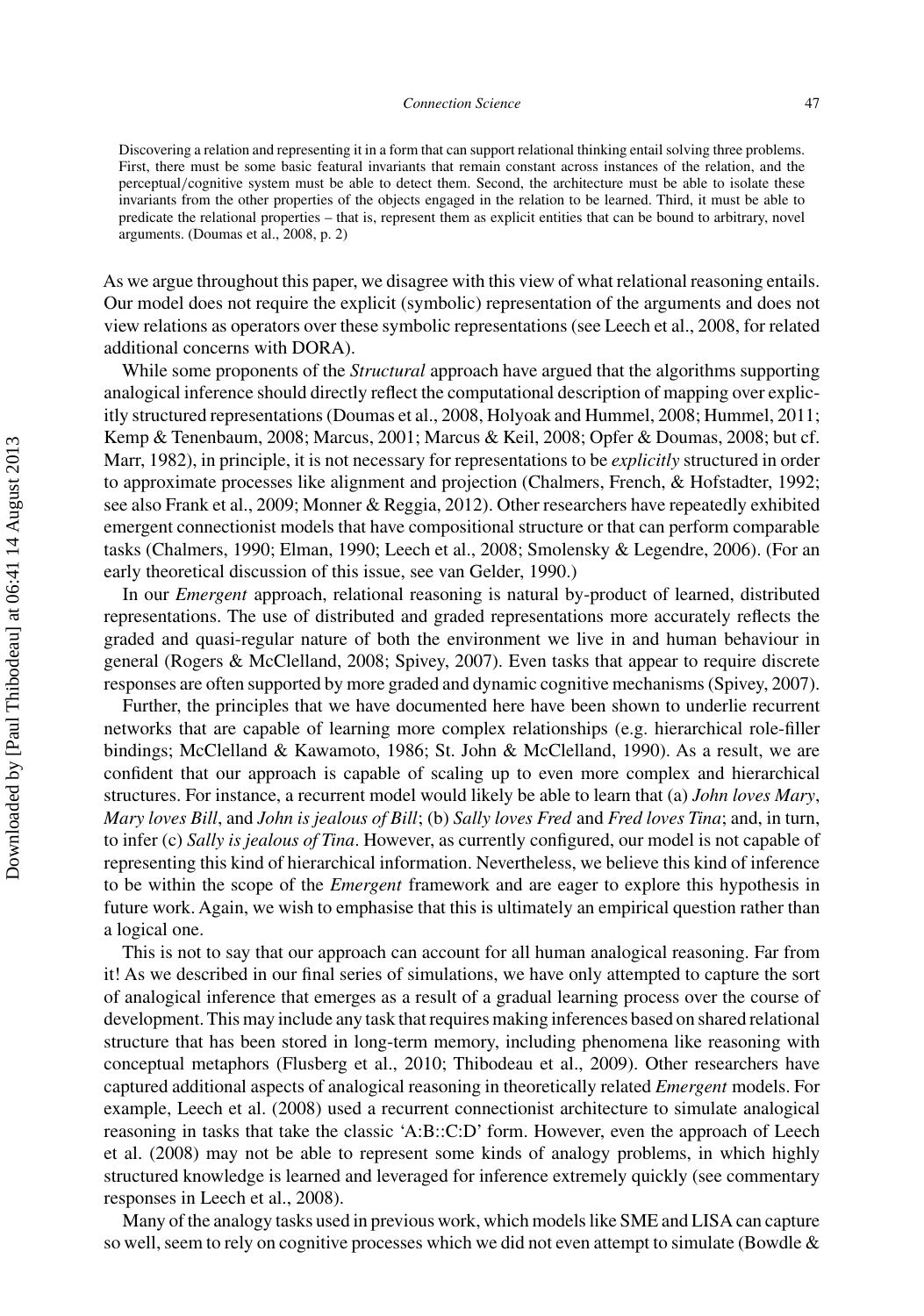Discovering a relation and representing it in a form that can support relational thinking entail solving three problems. First, there must be some basic featural invariants that remain constant across instances of the relation, and the perceptual*/*cognitive system must be able to detect them. Second, the architecture must be able to isolate these invariants from the other properties of the objects engaged in the relation to be learned. Third, it must be able to predicate the relational properties – that is, represent them as explicit entities that can be bound to arbitrary, novel arguments. (Doumas et al., 2008, p. 2)

As we argue throughout this paper, we disagree with this view of what relational reasoning entails. Our model does not require the explicit (symbolic) representation of the arguments and does not view relations as operators over these symbolic representations (see Leech et al., 2008, for related additional concerns with DORA).

While some proponents of the *Structural* approach have argued that the algorithms supporting analogical inference should directly reflect the computational description of mapping over explicitly structured representations (Doumas et al., 2008, Holyoak and Hummel, 2008; Hummel, 2011; Kemp & Tenenbaum, 2008; Marcus, 2001; Marcus & Keil, 2008; Opfer & Doumas, 2008; but cf. Marr, 1982), in principle, it is not necessary for representations to be *explicitly* structured in order to approximate processes like alignment and projection (Chalmers, French, & Hofstadter, 1992; see also Frank et al., 2009; Monner & Reggia, 2012). Other researchers have repeatedly exhibited emergent connectionist models that have compositional structure or that can perform comparable tasks (Chalmers, 1990; Elman, 1990; Leech et al., 2008; Smolensky & Legendre, 2006). (For an early theoretical discussion of this issue, see van Gelder, 1990.)

In our *Emergent* approach, relational reasoning is natural by-product of learned, distributed representations. The use of distributed and graded representations more accurately reflects the graded and quasi-regular nature of both the environment we live in and human behaviour in general (Rogers & McClelland, 2008; Spivey, 2007). Even tasks that appear to require discrete responses are often supported by more graded and dynamic cognitive mechanisms (Spivey, 2007).

Further, the principles that we have documented here have been shown to underlie recurrent networks that are capable of learning more complex relationships (e.g. hierarchical role-filler bindings; McClelland & Kawamoto, 1986; St. John & McClelland, 1990). As a result, we are confident that our approach is capable of scaling up to even more complex and hierarchical structures. For instance, a recurrent model would likely be able to learn that (a) *John loves Mary*, *Mary loves Bill*, and *John is jealous of Bill*; (b) *Sally loves Fred* and *Fred loves Tina*; and, in turn, to infer (c) *Sally is jealous of Tina*. However, as currently configured, our model is not capable of representing this kind of hierarchical information. Nevertheless, we believe this kind of inference to be within the scope of the *Emergent* framework and are eager to explore this hypothesis in future work. Again, we wish to emphasise that this is ultimately an empirical question rather than a logical one.

This is not to say that our approach can account for all human analogical reasoning. Far from it! As we described in our final series of simulations, we have only attempted to capture the sort of analogical inference that emerges as a result of a gradual learning process over the course of development. This may include any task that requires making inferences based on shared relational structure that has been stored in long-term memory, including phenomena like reasoning with conceptual metaphors (Flusberg et al., 2010; Thibodeau et al., 2009). Other researchers have captured additional aspects of analogical reasoning in theoretically related *Emergent* models. For example, Leech et al. (2008) used a recurrent connectionist architecture to simulate analogical reasoning in tasks that take the classic 'A:B::C:D' form. However, even the approach of Leech et al. (2008) may not be able to represent some kinds of analogy problems, in which highly structured knowledge is learned and leveraged for inference extremely quickly (see commentary responses in Leech et al., 2008).

Many of the analogy tasks used in previous work, which models like SME and LISA can capture so well, seem to rely on cognitive processes which we did not even attempt to simulate (Bowdle &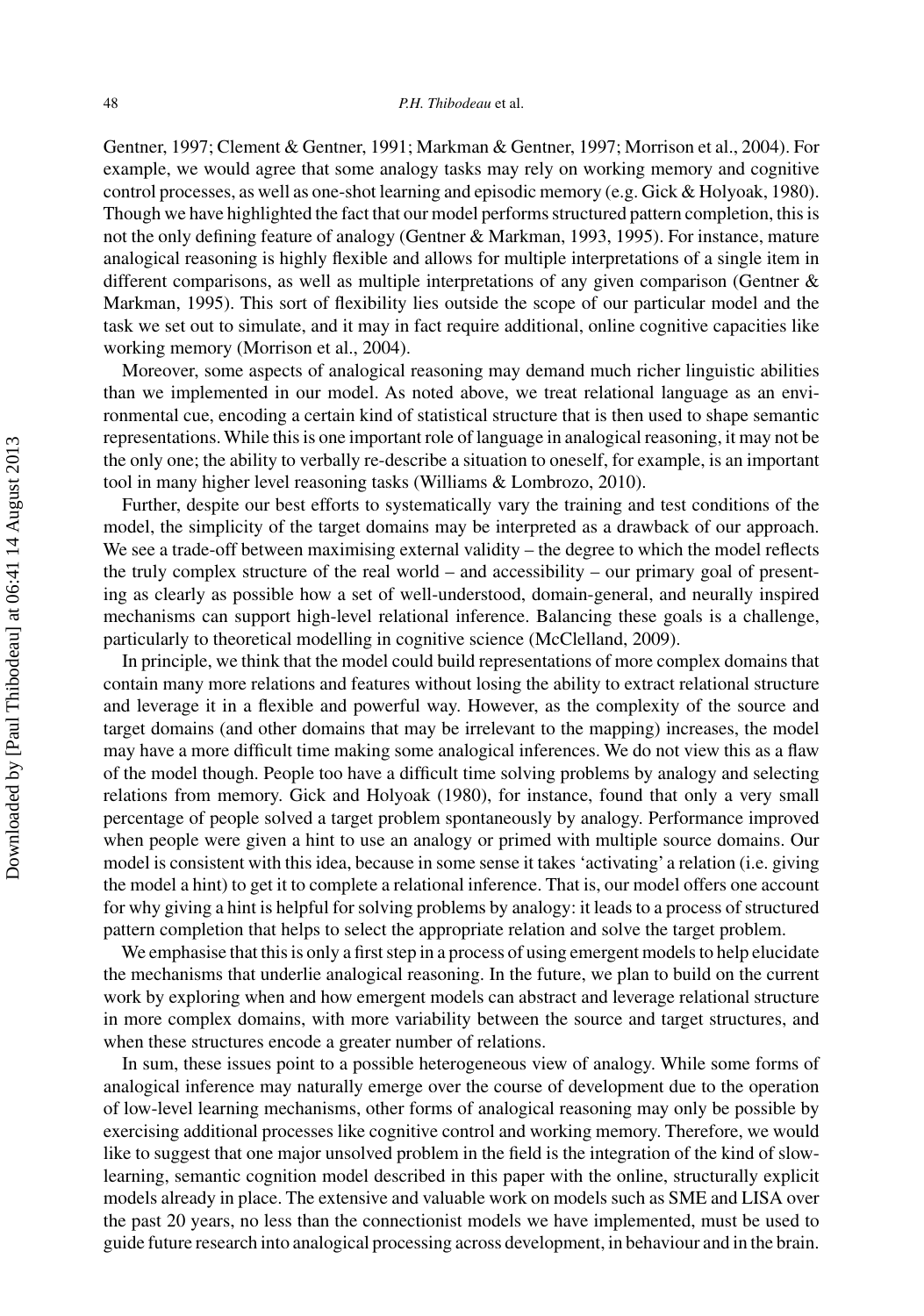Gentner, 1997; Clement & Gentner, 1991; Markman & Gentner, 1997; Morrison et al., 2004). For example, we would agree that some analogy tasks may rely on working memory and cognitive control processes, as well as one-shot learning and episodic memory (e.g. Gick & Holyoak, 1980). Though we have highlighted the fact that our model performs structured pattern completion, this is not the only defining feature of analogy (Gentner & Markman, 1993, 1995). For instance, mature analogical reasoning is highly flexible and allows for multiple interpretations of a single item in different comparisons, as well as multiple interpretations of any given comparison (Gentner & Markman, 1995). This sort of flexibility lies outside the scope of our particular model and the task we set out to simulate, and it may in fact require additional, online cognitive capacities like working memory (Morrison et al., 2004).

Moreover, some aspects of analogical reasoning may demand much richer linguistic abilities than we implemented in our model. As noted above, we treat relational language as an environmental cue, encoding a certain kind of statistical structure that is then used to shape semantic representations. While this is one important role of language in analogical reasoning, it may not be the only one; the ability to verbally re-describe a situation to oneself, for example, is an important tool in many higher level reasoning tasks (Williams & Lombrozo, 2010).

Further, despite our best efforts to systematically vary the training and test conditions of the model, the simplicity of the target domains may be interpreted as a drawback of our approach. We see a trade-off between maximising external validity – the degree to which the model reflects the truly complex structure of the real world – and accessibility – our primary goal of presenting as clearly as possible how a set of well-understood, domain-general, and neurally inspired mechanisms can support high-level relational inference. Balancing these goals is a challenge, particularly to theoretical modelling in cognitive science (McClelland, 2009).

In principle, we think that the model could build representations of more complex domains that contain many more relations and features without losing the ability to extract relational structure and leverage it in a flexible and powerful way. However, as the complexity of the source and target domains (and other domains that may be irrelevant to the mapping) increases, the model may have a more difficult time making some analogical inferences. We do not view this as a flaw of the model though. People too have a difficult time solving problems by analogy and selecting relations from memory. Gick and Holyoak (1980), for instance, found that only a very small percentage of people solved a target problem spontaneously by analogy. Performance improved when people were given a hint to use an analogy or primed with multiple source domains. Our model is consistent with this idea, because in some sense it takes 'activating' a relation (i.e. giving the model a hint) to get it to complete a relational inference. That is, our model offers one account for why giving a hint is helpful for solving problems by analogy: it leads to a process of structured pattern completion that helps to select the appropriate relation and solve the target problem.

We emphasise that this is only a first step in a process of using emergent models to help elucidate the mechanisms that underlie analogical reasoning. In the future, we plan to build on the current work by exploring when and how emergent models can abstract and leverage relational structure in more complex domains, with more variability between the source and target structures, and when these structures encode a greater number of relations.

In sum, these issues point to a possible heterogeneous view of analogy. While some forms of analogical inference may naturally emerge over the course of development due to the operation of low-level learning mechanisms, other forms of analogical reasoning may only be possible by exercising additional processes like cognitive control and working memory. Therefore, we would like to suggest that one major unsolved problem in the field is the integration of the kind of slowlearning, semantic cognition model described in this paper with the online, structurally explicit models already in place. The extensive and valuable work on models such as SME and LISA over the past 20 years, no less than the connectionist models we have implemented, must be used to guide future research into analogical processing across development, in behaviour and in the brain.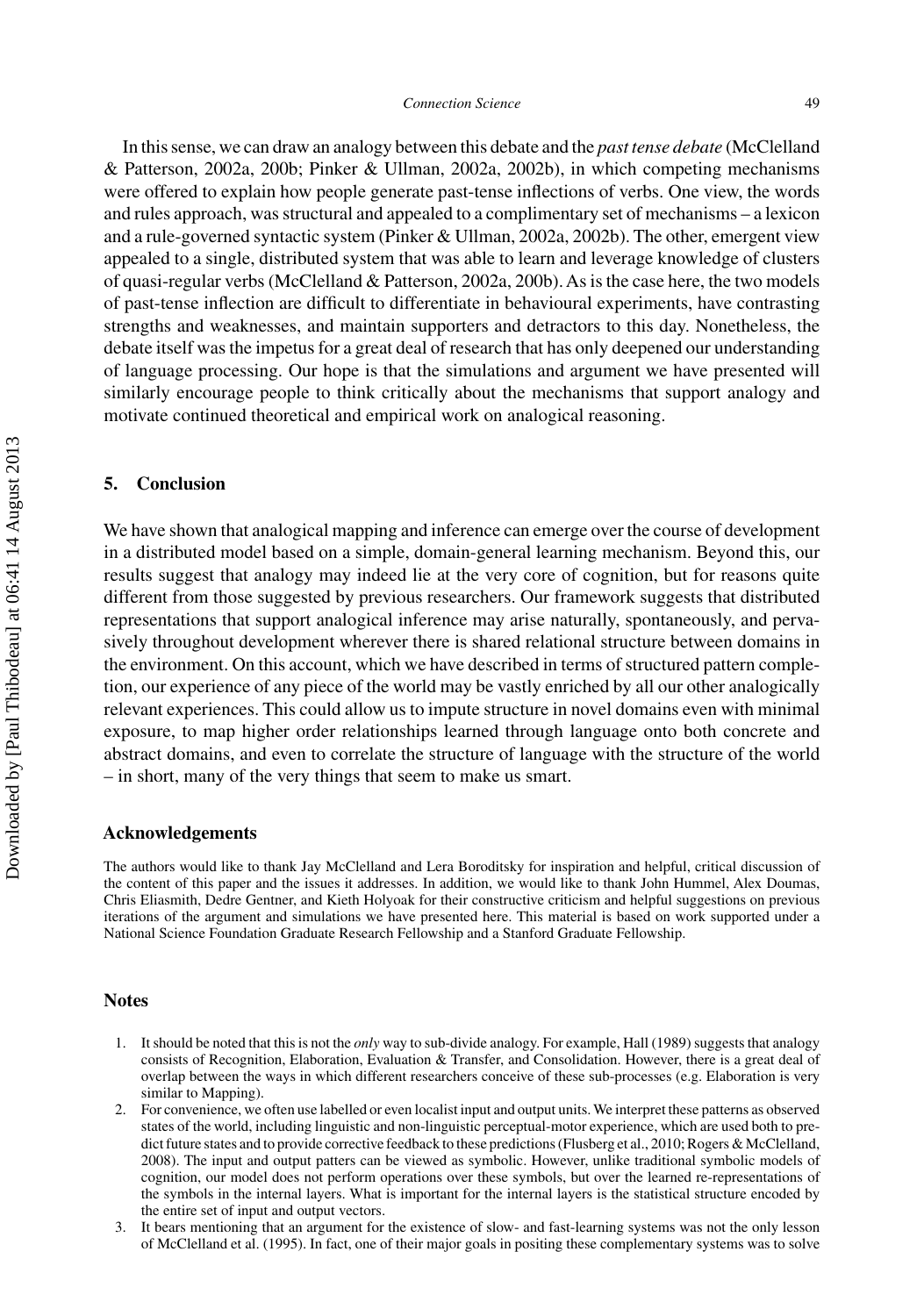#### *Connection Science* 49

In this sense, we can draw an analogy between this debate and the *past tense debate* (McClelland & Patterson, 2002a, 200b; Pinker & Ullman, 2002a, 2002b), in which competing mechanisms were offered to explain how people generate past-tense inflections of verbs. One view, the words and rules approach, was structural and appealed to a complimentary set of mechanisms – a lexicon and a rule-governed syntactic system (Pinker & Ullman, 2002a, 2002b). The other, emergent view appealed to a single, distributed system that was able to learn and leverage knowledge of clusters of quasi-regular verbs (McClelland & Patterson, 2002a, 200b). As is the case here, the two models of past-tense inflection are difficult to differentiate in behavioural experiments, have contrasting strengths and weaknesses, and maintain supporters and detractors to this day. Nonetheless, the debate itself was the impetus for a great deal of research that has only deepened our understanding of language processing. Our hope is that the simulations and argument we have presented will similarly encourage people to think critically about the mechanisms that support analogy and motivate continued theoretical and empirical work on analogical reasoning.

#### **5. Conclusion**

We have shown that analogical mapping and inference can emerge over the course of development in a distributed model based on a simple, domain-general learning mechanism. Beyond this, our results suggest that analogy may indeed lie at the very core of cognition, but for reasons quite different from those suggested by previous researchers. Our framework suggests that distributed representations that support analogical inference may arise naturally, spontaneously, and pervasively throughout development wherever there is shared relational structure between domains in the environment. On this account, which we have described in terms of structured pattern completion, our experience of any piece of the world may be vastly enriched by all our other analogically relevant experiences. This could allow us to impute structure in novel domains even with minimal exposure, to map higher order relationships learned through language onto both concrete and abstract domains, and even to correlate the structure of language with the structure of the world – in short, many of the very things that seem to make us smart.

#### **Acknowledgements**

The authors would like to thank Jay McClelland and Lera Boroditsky for inspiration and helpful, critical discussion of the content of this paper and the issues it addresses. In addition, we would like to thank John Hummel, Alex Doumas, Chris Eliasmith, Dedre Gentner, and Kieth Holyoak for their constructive criticism and helpful suggestions on previous iterations of the argument and simulations we have presented here. This material is based on work supported under a National Science Foundation Graduate Research Fellowship and a Stanford Graduate Fellowship.

## **Notes**

- 1. It should be noted that this is not the *only* way to sub-divide analogy. For example, Hall (1989) suggests that analogy consists of Recognition, Elaboration, Evaluation & Transfer, and Consolidation. However, there is a great deal of overlap between the ways in which different researchers conceive of these sub-processes (e.g. Elaboration is very similar to Mapping).
- 2. For convenience, we often use labelled or even localist input and output units. We interpret these patterns as observed states of the world, including linguistic and non-linguistic perceptual-motor experience, which are used both to predict future states and to provide corrective feedback to these predictions (Flusberg et al., 2010; Rogers & McClelland, 2008). The input and output patters can be viewed as symbolic. However, unlike traditional symbolic models of cognition, our model does not perform operations over these symbols, but over the learned re-representations of the symbols in the internal layers. What is important for the internal layers is the statistical structure encoded by the entire set of input and output vectors.
- 3. It bears mentioning that an argument for the existence of slow- and fast-learning systems was not the only lesson of McClelland et al. (1995). In fact, one of their major goals in positing these complementary systems was to solve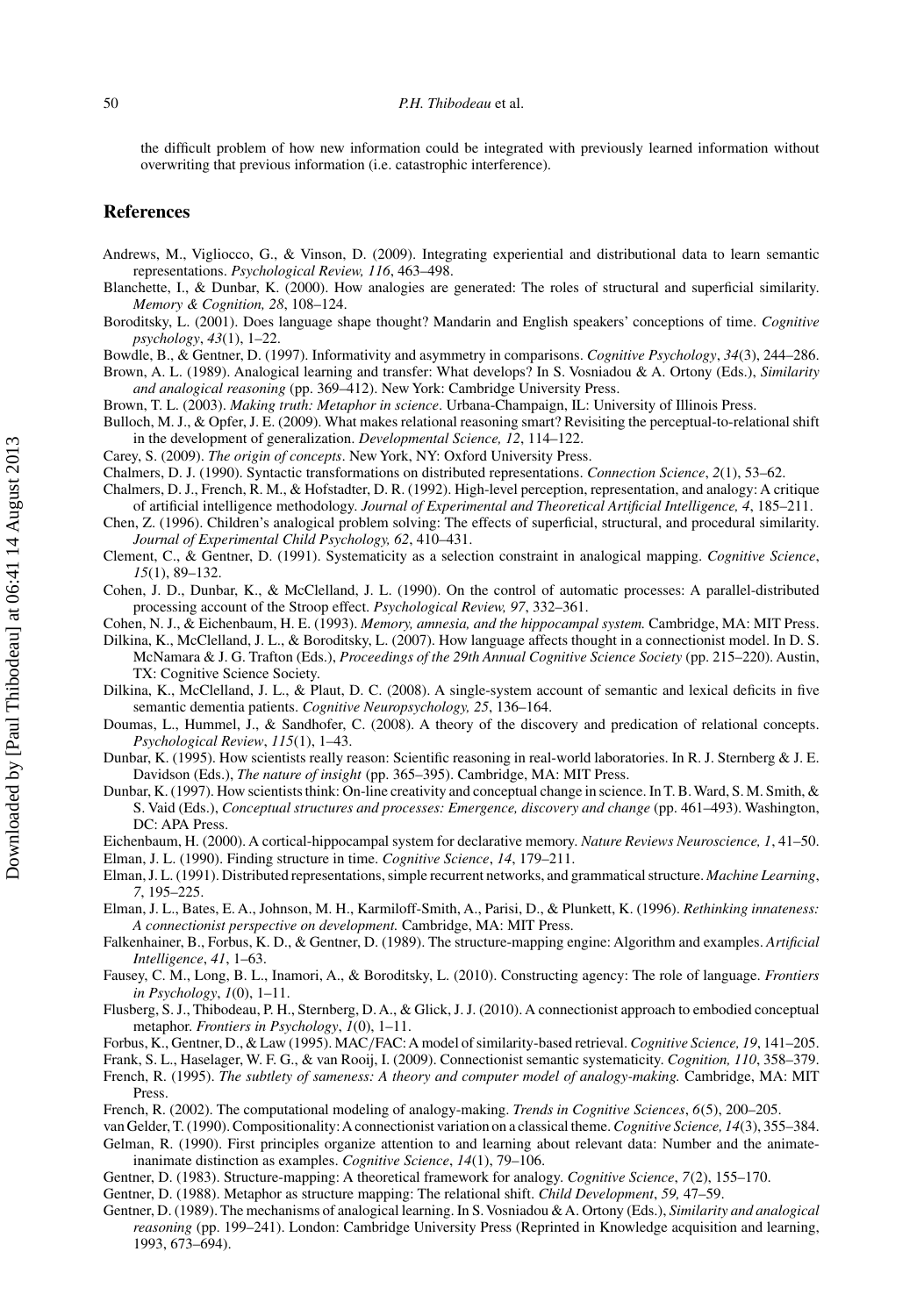the difficult problem of how new information could be integrated with previously learned information without overwriting that previous information (i.e. catastrophic interference).

## **References**

- Andrews, M., Vigliocco, G., & Vinson, D. (2009). Integrating experiential and distributional data to learn semantic representations. *Psychological Review, 116*, 463–498.
- Blanchette, I., & Dunbar, K. (2000). How analogies are generated: The roles of structural and superficial similarity. *Memory & Cognition, 28*, 108–124.
- Boroditsky, L. (2001). Does language shape thought? Mandarin and English speakers' conceptions of time. *Cognitive psychology*, *43*(1), 1–22.
- Bowdle, B., & Gentner, D. (1997). Informativity and asymmetry in comparisons. *Cognitive Psychology*, *34*(3), 244–286.
- Brown, A. L. (1989). Analogical learning and transfer: What develops? In S. Vosniadou & A. Ortony (Eds.), *Similarity and analogical reasoning* (pp. 369–412). New York: Cambridge University Press.
- Brown, T. L. (2003). *Making truth: Metaphor in science*. Urbana-Champaign, IL: University of Illinois Press.
- Bulloch, M. J., & Opfer, J. E. (2009). What makes relational reasoning smart? Revisiting the perceptual-to-relational shift in the development of generalization. *Developmental Science, 12*, 114–122.
- Carey, S. (2009). *The origin of concepts*. New York, NY: Oxford University Press.
- Chalmers, D. J. (1990). Syntactic transformations on distributed representations. *Connection Science*, *2*(1), 53–62.
- Chalmers, D. J., French, R. M., & Hofstadter, D. R. (1992). High-level perception, representation, and analogy: A critique of artificial intelligence methodology. *Journal of Experimental and Theoretical Artificial Intelligence, 4*, 185–211.
- Chen, Z. (1996). Children's analogical problem solving: The effects of superficial, structural, and procedural similarity. *Journal of Experimental Child Psychology, 62*, 410–431.
- Clement, C., & Gentner, D. (1991). Systematicity as a selection constraint in analogical mapping. *Cognitive Science*, *15*(1), 89–132.
- Cohen, J. D., Dunbar, K., & McClelland, J. L. (1990). On the control of automatic processes: A parallel-distributed processing account of the Stroop effect. *Psychological Review, 97*, 332–361.
- Cohen, N. J., & Eichenbaum, H. E. (1993). *Memory, amnesia, and the hippocampal system.* Cambridge, MA: MIT Press.
- Dilkina, K., McClelland, J. L., & Boroditsky, L. (2007). How language affects thought in a connectionist model. In D. S. McNamara & J. G. Trafton (Eds.), *Proceedings of the 29th Annual Cognitive Science Society* (pp. 215–220). Austin, TX: Cognitive Science Society.
- Dilkina, K., McClelland, J. L., & Plaut, D. C. (2008). A single-system account of semantic and lexical deficits in five semantic dementia patients. *Cognitive Neuropsychology, 25*, 136–164.
- Doumas, L., Hummel, J., & Sandhofer, C. (2008). A theory of the discovery and predication of relational concepts. *Psychological Review*, *115*(1), 1–43.
- Dunbar, K. (1995). How scientists really reason: Scientific reasoning in real-world laboratories. In R. J. Sternberg & J. E. Davidson (Eds.), *The nature of insight* (pp. 365–395). Cambridge, MA: MIT Press.
- Dunbar, K. (1997). How scientists think: On-line creativity and conceptual change in science. In T. B. Ward, S. M. Smith, & S. Vaid (Eds.), *Conceptual structures and processes: Emergence, discovery and change* (pp. 461–493). Washington, DC: APA Press.
- Eichenbaum, H. (2000). A cortical-hippocampal system for declarative memory. *Nature Reviews Neuroscience, 1*, 41–50.
- Elman, J. L. (1990). Finding structure in time. *Cognitive Science*, *14*, 179–211.
- Elman, J. L. (1991). Distributed representations, simple recurrent networks, and grammatical structure. *Machine Learning*, *7*, 195–225.
- Elman, J. L., Bates, E. A., Johnson, M. H., Karmiloff-Smith, A., Parisi, D., & Plunkett, K. (1996). *Rethinking innateness: A connectionist perspective on development.* Cambridge, MA: MIT Press.
- Falkenhainer, B., Forbus, K. D., & Gentner, D. (1989). The structure-mapping engine: Algorithm and examples. *Artificial Intelligence*, *41*, 1–63.
- Fausey, C. M., Long, B. L., Inamori, A., & Boroditsky, L. (2010). Constructing agency: The role of language. *Frontiers in Psychology*, *1*(0), 1–11.
- Flusberg, S. J., Thibodeau, P. H., Sternberg, D. A., & Glick, J. J. (2010). A connectionist approach to embodied conceptual metaphor. *Frontiers in Psychology*, *1*(0), 1–11.
- Forbus, K., Gentner, D., & Law (1995). MAC*/*FAC:A model of similarity-based retrieval. *Cognitive Science, 19*, 141–205.
- Frank, S. L., Haselager, W. F. G., & van Rooij, I. (2009). Connectionist semantic systematicity. *Cognition, 110*, 358–379. French, R. (1995). *The subtlety of sameness: A theory and computer model of analogy-making.* Cambridge, MA: MIT
- Press.
- French, R. (2002). The computational modeling of analogy-making. *Trends in Cognitive Sciences*, *6*(5), 200–205.
- van Gelder, T. (1990). Compositionality:A connectionist variation on a classical theme.*Cognitive Science, 14*(3), 355–384. Gelman, R. (1990). First principles organize attention to and learning about relevant data: Number and the animateinanimate distinction as examples. *Cognitive Science*, *14*(1), 79–106.
- Gentner, D. (1983). Structure-mapping: A theoretical framework for analogy. *Cognitive Science*, *7*(2), 155–170.
- Gentner, D. (1988). Metaphor as structure mapping: The relational shift. *Child Development*, *59,* 47–59.
- Gentner, D. (1989). The mechanisms of analogical learning. In S. Vosniadou &A. Ortony (Eds.), *Similarity and analogical reasoning* (pp. 199–241). London: Cambridge University Press (Reprinted in Knowledge acquisition and learning, 1993, 673–694).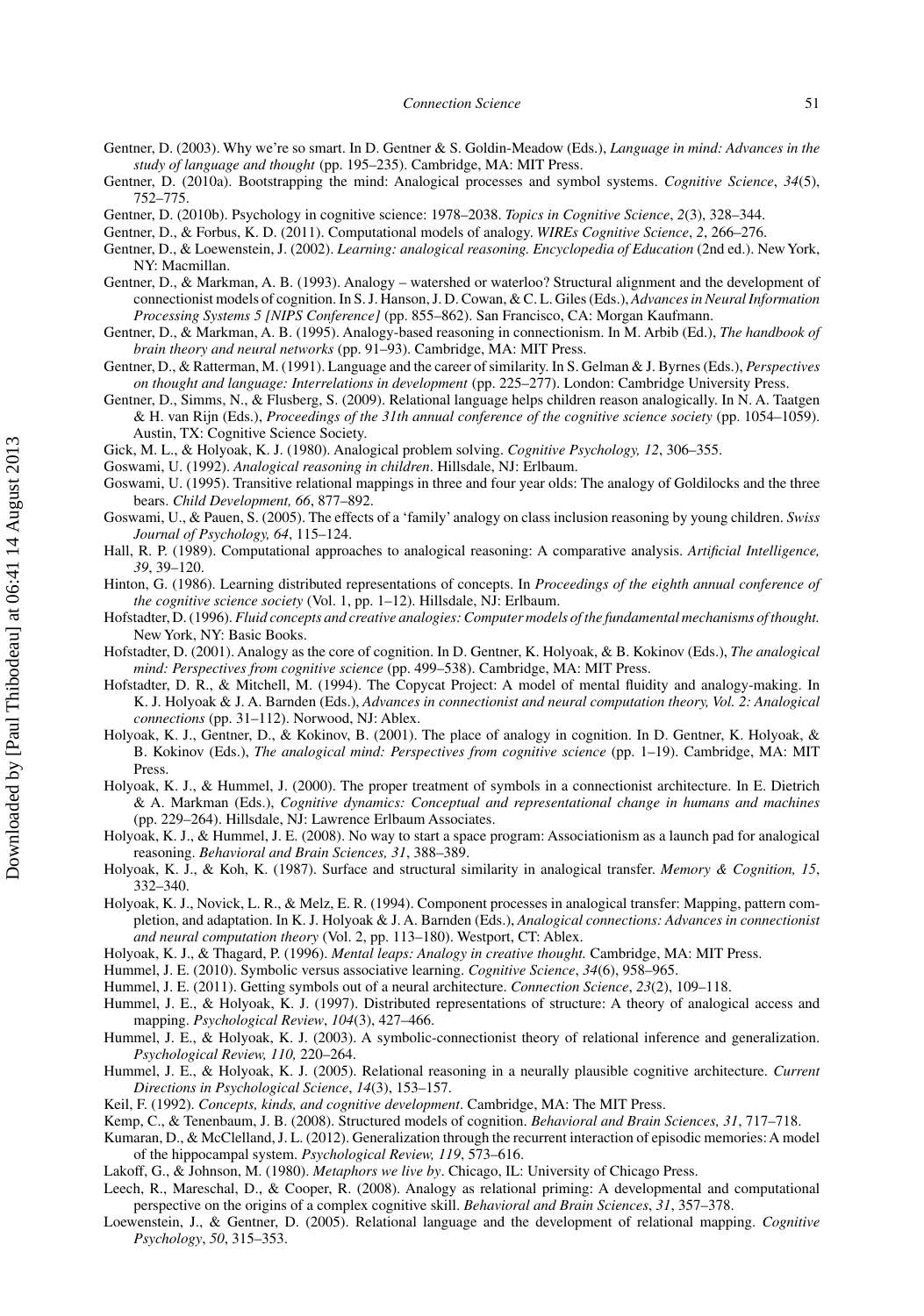- Gentner, D. (2003). Why we're so smart. In D. Gentner & S. Goldin-Meadow (Eds.), *Language in mind: Advances in the study of language and thought* (pp. 195–235). Cambridge, MA: MIT Press.
- Gentner, D. (2010a). Bootstrapping the mind: Analogical processes and symbol systems. *Cognitive Science*, *34*(5), 752–775.
- Gentner, D. (2010b). Psychology in cognitive science: 1978–2038. *Topics in Cognitive Science*, *2*(3), 328–344.
- Gentner, D., & Forbus, K. D. (2011). Computational models of analogy. *WIREs Cognitive Science*, *2*, 266–276.
- Gentner, D., & Loewenstein, J. (2002). *Learning: analogical reasoning. Encyclopedia of Education* (2nd ed.). New York, NY: Macmillan.
- Gentner, D., & Markman, A. B. (1993). Analogy watershed or waterloo? Structural alignment and the development of connectionist models of cognition. In S. J. Hanson, J. D. Cowan, & C. L. Giles (Eds.),*Advances in Neural Information Processing Systems 5 [NIPS Conference]* (pp. 855–862). San Francisco, CA: Morgan Kaufmann.
- Gentner, D., & Markman, A. B. (1995). Analogy-based reasoning in connectionism. In M. Arbib (Ed.), *The handbook of brain theory and neural networks* (pp. 91–93). Cambridge, MA: MIT Press.
- Gentner, D., & Ratterman, M. (1991). Language and the career of similarity. In S. Gelman & J. Byrnes (Eds.), *Perspectives on thought and language: Interrelations in development* (pp. 225–277). London: Cambridge University Press.
- Gentner, D., Simms, N., & Flusberg, S. (2009). Relational language helps children reason analogically. In N. A. Taatgen & H. van Rijn (Eds.), *Proceedings of the 31th annual conference of the cognitive science society* (pp. 1054–1059). Austin, TX: Cognitive Science Society.
- Gick, M. L., & Holyoak, K. J. (1980). Analogical problem solving. *Cognitive Psychology, 12*, 306–355.
- Goswami, U. (1992). *Analogical reasoning in children*. Hillsdale, NJ: Erlbaum.
- Goswami, U. (1995). Transitive relational mappings in three and four year olds: The analogy of Goldilocks and the three bears. *Child Development, 66*, 877–892.
- Goswami, U., & Pauen, S. (2005). The effects of a 'family' analogy on class inclusion reasoning by young children. *Swiss Journal of Psychology, 64*, 115–124.
- Hall, R. P. (1989). Computational approaches to analogical reasoning: A comparative analysis. *Artificial Intelligence, 39*, 39–120.
- Hinton, G. (1986). Learning distributed representations of concepts. In *Proceedings of the eighth annual conference of the cognitive science society* (Vol. 1, pp. 1–12). Hillsdale, NJ: Erlbaum.
- Hofstadter, D. (1996). *Fluid concepts and creative analogies: Computer models of the fundamental mechanisms of thought.* New York, NY: Basic Books.
- Hofstadter, D. (2001). Analogy as the core of cognition. In D. Gentner, K. Holyoak, & B. Kokinov (Eds.), *The analogical mind: Perspectives from cognitive science* (pp. 499–538). Cambridge, MA: MIT Press.
- Hofstadter, D. R., & Mitchell, M. (1994). The Copycat Project: A model of mental fluidity and analogy-making. In K. J. Holyoak & J. A. Barnden (Eds.), *Advances in connectionist and neural computation theory, Vol. 2: Analogical connections* (pp. 31–112). Norwood, NJ: Ablex.
- Holyoak, K. J., Gentner, D., & Kokinov, B. (2001). The place of analogy in cognition. In D. Gentner, K. Holyoak, & B. Kokinov (Eds.), *The analogical mind: Perspectives from cognitive science* (pp. 1–19). Cambridge, MA: MIT Press.
- Holyoak, K. J., & Hummel, J. (2000). The proper treatment of symbols in a connectionist architecture. In E. Dietrich & A. Markman (Eds.), *Cognitive dynamics: Conceptual and representational change in humans and machines* (pp. 229–264). Hillsdale, NJ: Lawrence Erlbaum Associates.
- Holyoak, K. J., & Hummel, J. E. (2008). No way to start a space program: Associationism as a launch pad for analogical reasoning. *Behavioral and Brain Sciences, 31*, 388–389.
- Holyoak, K. J., & Koh, K. (1987). Surface and structural similarity in analogical transfer. *Memory & Cognition, 15*, 332–340.
- Holyoak, K. J., Novick, L. R., & Melz, E. R. (1994). Component processes in analogical transfer: Mapping, pattern completion, and adaptation. In K. J. Holyoak & J. A. Barnden (Eds.), *Analogical connections: Advances in connectionist and neural computation theory* (Vol. 2, pp. 113–180). Westport, CT: Ablex.
- Holyoak, K. J., & Thagard, P. (1996). *Mental leaps: Analogy in creative thought.* Cambridge, MA: MIT Press.
- Hummel, J. E. (2010). Symbolic versus associative learning. *Cognitive Science*, *34*(6), 958–965.
- Hummel, J. E. (2011). Getting symbols out of a neural architecture. *Connection Science*, *23*(2), 109–118.
- Hummel, J. E., & Holyoak, K. J. (1997). Distributed representations of structure: A theory of analogical access and mapping. *Psychological Review*, *104*(3), 427–466.
- Hummel, J. E., & Holyoak, K. J. (2003). A symbolic-connectionist theory of relational inference and generalization. *Psychological Review, 110,* 220–264.
- Hummel, J. E., & Holyoak, K. J. (2005). Relational reasoning in a neurally plausible cognitive architecture. *Current Directions in Psychological Science*, *14*(3), 153–157.
- Keil, F. (1992). *Concepts, kinds, and cognitive development*. Cambridge, MA: The MIT Press.
- Kemp, C., & Tenenbaum, J. B. (2008). Structured models of cognition. *Behavioral and Brain Sciences, 31*, 717–718.
- Kumaran, D., & McClelland, J. L. (2012). Generalization through the recurrent interaction of episodic memories: A model of the hippocampal system. *Psychological Review, 119*, 573–616.
- Lakoff, G., & Johnson, M. (1980). *Metaphors we live by*. Chicago, IL: University of Chicago Press.
- Leech, R., Mareschal, D., & Cooper, R. (2008). Analogy as relational priming: A developmental and computational perspective on the origins of a complex cognitive skill. *Behavioral and Brain Sciences*, *31*, 357–378.
- Loewenstein, J., & Gentner, D. (2005). Relational language and the development of relational mapping. *Cognitive Psychology*, *50*, 315–353.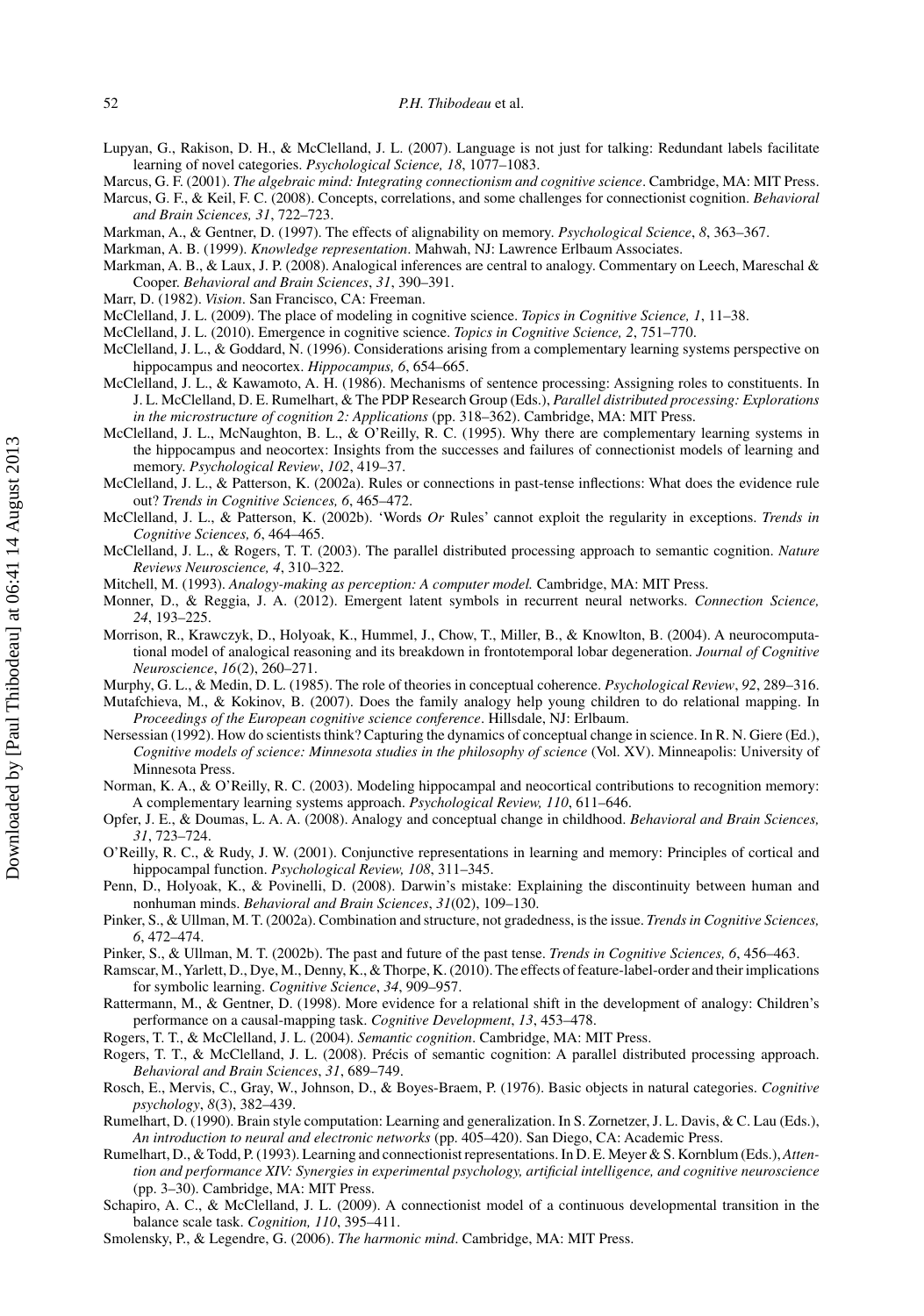Lupyan, G., Rakison, D. H., & McClelland, J. L. (2007). Language is not just for talking: Redundant labels facilitate learning of novel categories. *Psychological Science, 18*, 1077–1083.

Marcus, G. F. (2001). *The algebraic mind: Integrating connectionism and cognitive science*. Cambridge, MA: MIT Press.

Marcus, G. F., & Keil, F. C. (2008). Concepts, correlations, and some challenges for connectionist cognition. *Behavioral and Brain Sciences, 31*, 722–723.

Markman, A., & Gentner, D. (1997). The effects of alignability on memory. *Psychological Science*, *8*, 363–367.

Markman, A. B. (1999). *Knowledge representation*. Mahwah, NJ: Lawrence Erlbaum Associates.

Markman, A. B., & Laux, J. P. (2008). Analogical inferences are central to analogy. Commentary on Leech, Mareschal & Cooper. *Behavioral and Brain Sciences*, *31*, 390–391.

Marr, D. (1982). *Vision*. San Francisco, CA: Freeman.

McClelland, J. L. (2009). The place of modeling in cognitive science. *Topics in Cognitive Science, 1*, 11–38.

McClelland, J. L. (2010). Emergence in cognitive science. *Topics in Cognitive Science, 2*, 751–770.

McClelland, J. L., & Goddard, N. (1996). Considerations arising from a complementary learning systems perspective on hippocampus and neocortex. *Hippocampus, 6*, 654–665.

- McClelland, J. L., & Kawamoto, A. H. (1986). Mechanisms of sentence processing: Assigning roles to constituents. In J. L. McClelland, D. E. Rumelhart, & The PDP Research Group (Eds.), *Parallel distributed processing: Explorations in the microstructure of cognition 2: Applications* (pp. 318–362). Cambridge, MA: MIT Press.
- McClelland, J. L., McNaughton, B. L., & O'Reilly, R. C. (1995). Why there are complementary learning systems in the hippocampus and neocortex: Insights from the successes and failures of connectionist models of learning and memory. *Psychological Review*, *102*, 419–37.
- McClelland, J. L., & Patterson, K. (2002a). Rules or connections in past-tense inflections: What does the evidence rule out? *Trends in Cognitive Sciences, 6*, 465–472.
- McClelland, J. L., & Patterson, K. (2002b). 'Words *Or* Rules' cannot exploit the regularity in exceptions. *Trends in Cognitive Sciences, 6*, 464–465.
- McClelland, J. L., & Rogers, T. T. (2003). The parallel distributed processing approach to semantic cognition. *Nature Reviews Neuroscience, 4*, 310–322.
- Mitchell, M. (1993). *Analogy-making as perception: A computer model.* Cambridge, MA: MIT Press.
- Monner, D., & Reggia, J. A. (2012). Emergent latent symbols in recurrent neural networks. *Connection Science, 24*, 193–225.
- Morrison, R., Krawczyk, D., Holyoak, K., Hummel, J., Chow, T., Miller, B., & Knowlton, B. (2004). A neurocomputational model of analogical reasoning and its breakdown in frontotemporal lobar degeneration. *Journal of Cognitive Neuroscience*, *16*(2), 260–271.

Murphy, G. L., & Medin, D. L. (1985). The role of theories in conceptual coherence. *Psychological Review*, *92*, 289–316.

Mutafchieva, M., & Kokinov, B. (2007). Does the family analogy help young children to do relational mapping. In *Proceedings of the European cognitive science conference*. Hillsdale, NJ: Erlbaum.

- Nersessian (1992). How do scientists think? Capturing the dynamics of conceptual change in science. In R. N. Giere (Ed.), *Cognitive models of science: Minnesota studies in the philosophy of science* (Vol. XV). Minneapolis: University of Minnesota Press.
- Norman, K. A., & O'Reilly, R. C. (2003). Modeling hippocampal and neocortical contributions to recognition memory: A complementary learning systems approach. *Psychological Review, 110*, 611–646.
- Opfer, J. E., & Doumas, L. A. A. (2008). Analogy and conceptual change in childhood. *Behavioral and Brain Sciences, 31*, 723–724.
- O'Reilly, R. C., & Rudy, J. W. (2001). Conjunctive representations in learning and memory: Principles of cortical and hippocampal function. *Psychological Review, 108*, 311–345.
- Penn, D., Holyoak, K., & Povinelli, D. (2008). Darwin's mistake: Explaining the discontinuity between human and nonhuman minds. *Behavioral and Brain Sciences*, *31*(02), 109–130.
- Pinker, S., & Ullman, M. T. (2002a). Combination and structure, not gradedness, is the issue. *Trends in Cognitive Sciences, 6*, 472–474.
- Pinker, S., & Ullman, M. T. (2002b). The past and future of the past tense. *Trends in Cognitive Sciences, 6*, 456–463.
- Ramscar, M.,Yarlett, D., Dye, M., Denny, K., & Thorpe, K. (2010). The effects of feature-label-order and their implications for symbolic learning. *Cognitive Science*, *34*, 909–957.
- Rattermann, M., & Gentner, D. (1998). More evidence for a relational shift in the development of analogy: Children's performance on a causal-mapping task. *Cognitive Development*, *13*, 453–478.
- Rogers, T. T., & McClelland, J. L. (2004). *Semantic cognition*. Cambridge, MA: MIT Press.
- Rogers, T. T., & McClelland, J. L. (2008). Précis of semantic cognition: A parallel distributed processing approach. *Behavioral and Brain Sciences*, *31*, 689–749.
- Rosch, E., Mervis, C., Gray, W., Johnson, D., & Boyes-Braem, P. (1976). Basic objects in natural categories. *Cognitive psychology*, *8*(3), 382–439.
- Rumelhart, D. (1990). Brain style computation: Learning and generalization. In S. Zornetzer, J. L. Davis, & C. Lau (Eds.), *An introduction to neural and electronic networks* (pp. 405–420). San Diego, CA: Academic Press.
- Rumelhart, D., & Todd, P. (1993). Learning and connectionist representations. In D. E. Meyer & S. Kornblum (Eds.),*Attention and performance XIV: Synergies in experimental psychology, artificial intelligence, and cognitive neuroscience* (pp. 3–30). Cambridge, MA: MIT Press.
- Schapiro, A. C., & McClelland, J. L. (2009). A connectionist model of a continuous developmental transition in the balance scale task. *Cognition, 110*, 395–411.
- Smolensky, P., & Legendre, G. (2006). *The harmonic mind*. Cambridge, MA: MIT Press.